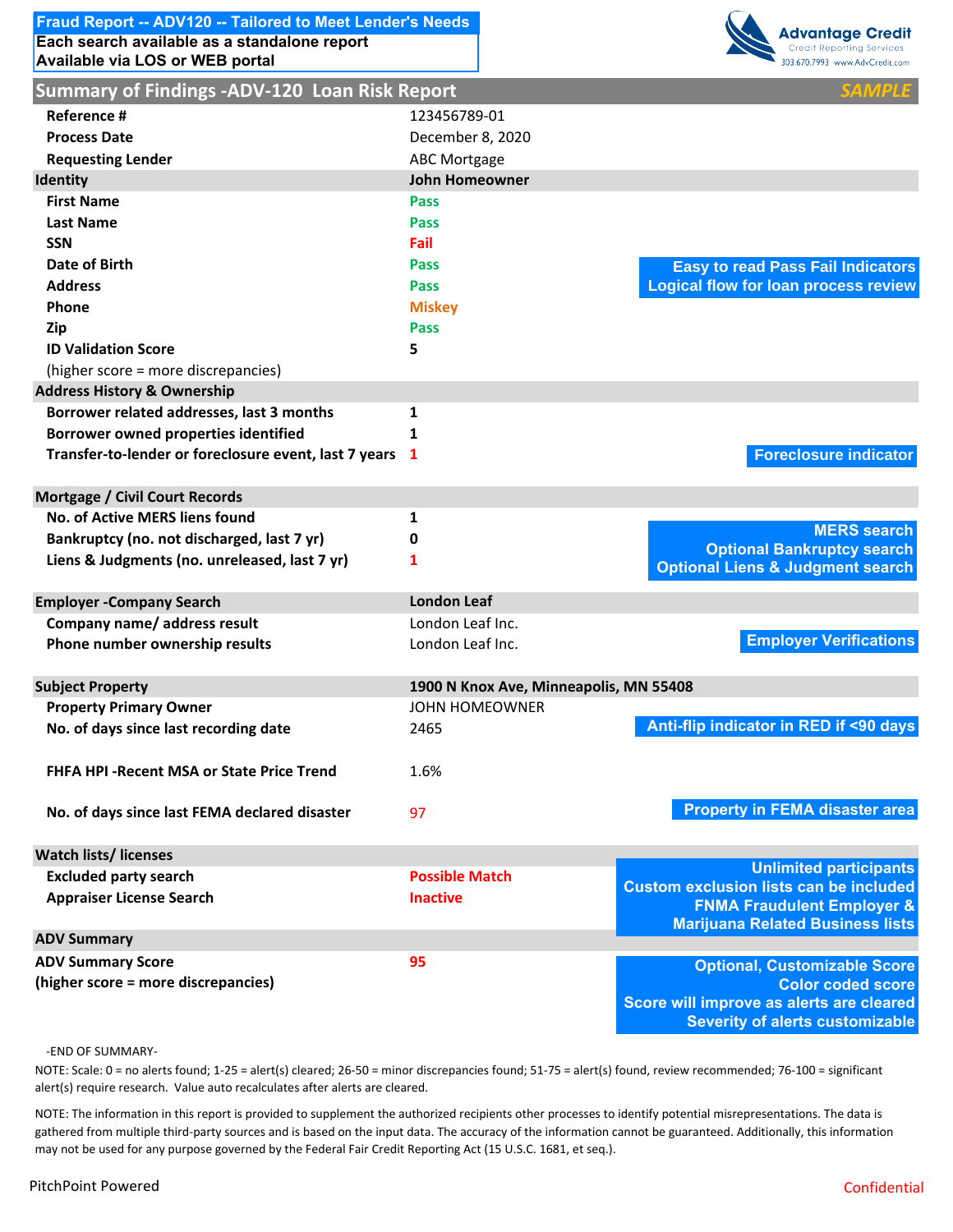# **Each search available as a standalone report Fraud Report -- ADV120 -- Tailored to Meet Lender's Needs**



| <b>Summary of Findings -ADV-120 Loan Risk Report</b>    |                                        |                                                                                  |
|---------------------------------------------------------|----------------------------------------|----------------------------------------------------------------------------------|
| Reference #                                             | 123456789-01                           |                                                                                  |
| <b>Process Date</b>                                     | December 8, 2020                       |                                                                                  |
| <b>Requesting Lender</b>                                | <b>ABC Mortgage</b>                    |                                                                                  |
| Identity                                                | <b>John Homeowner</b>                  |                                                                                  |
| <b>First Name</b>                                       | <b>Pass</b>                            |                                                                                  |
| <b>Last Name</b>                                        | <b>Pass</b>                            |                                                                                  |
| <b>SSN</b>                                              | Fail                                   |                                                                                  |
| Date of Birth                                           | Pass                                   | <b>Easy to read Pass Fail Indicators</b>                                         |
| <b>Address</b>                                          | <b>Pass</b>                            | <b>Logical flow for loan process review</b>                                      |
| <b>Phone</b>                                            | <b>Miskey</b>                          |                                                                                  |
| Zip                                                     | <b>Pass</b>                            |                                                                                  |
| <b>ID Validation Score</b>                              | 5                                      |                                                                                  |
| (higher score = more discrepancies)                     |                                        |                                                                                  |
| <b>Address History &amp; Ownership</b>                  |                                        |                                                                                  |
| Borrower related addresses, last 3 months               | 1                                      |                                                                                  |
| <b>Borrower owned properties identified</b>             | 1                                      |                                                                                  |
| Transfer-to-lender or foreclosure event, last 7 years 1 |                                        | <b>Foreclosure indicator</b>                                                     |
| <b>Mortgage / Civil Court Records</b>                   |                                        |                                                                                  |
| No. of Active MERS liens found                          | 1                                      |                                                                                  |
| Bankruptcy (no. not discharged, last 7 yr)              | 0                                      | <b>MERS</b> search<br><b>Optional Bankruptcy search</b>                          |
| Liens & Judgments (no. unreleased, last 7 yr)           | 1                                      | <b>Optional Liens &amp; Judgment search</b>                                      |
| <b>Employer -Company Search</b>                         | <b>London Leaf</b>                     |                                                                                  |
| Company name/ address result                            | London Leaf Inc.                       |                                                                                  |
| Phone number ownership results                          | London Leaf Inc.                       | <b>Employer Verifications</b>                                                    |
| <b>Subject Property</b>                                 | 1900 N Knox Ave, Minneapolis, MN 55408 |                                                                                  |
| <b>Property Primary Owner</b>                           | <b>JOHN HOMEOWNER</b>                  |                                                                                  |
| No. of days since last recording date                   | 2465                                   | Anti-flip indicator in RED if <90 days                                           |
| <b>FHFA HPI - Recent MSA or State Price Trend</b>       | 1.6%                                   |                                                                                  |
| No. of days since last FEMA declared disaster           | 97                                     | <b>Property in FEMA disaster area</b>                                            |
| <b>Watch lists/licenses</b>                             |                                        |                                                                                  |
| <b>Excluded party search</b>                            | <b>Possible Match</b>                  | <b>Unlimited participants</b><br><b>Custom exclusion lists can be included</b>   |
| <b>Appraiser License Search</b>                         | <b>Inactive</b>                        | <b>FNMA Fraudulent Employer &amp;</b><br><b>Marijuana Related Business lists</b> |
| <b>ADV Summary</b>                                      |                                        |                                                                                  |
| <b>ADV Summary Score</b>                                | 95                                     | <b>Optional, Customizable Score</b>                                              |
| (higher score = more discrepancies)                     |                                        | <b>Color coded score</b>                                                         |
|                                                         |                                        | Score will improve as alerts are cleared                                         |
|                                                         |                                        | <b>Severity of alerts customizable</b>                                           |

#### ‐END OF SUMMARY‐

NOTE: Scale: 0 = no alerts found; 1‐25 = alert(s) cleared; 26‐50 = minor discrepancies found; 51‐75 = alert(s) found, review recommended; 76‐100 = significant alert(s) require research. Value auto recalculates after alerts are cleared.

NOTE: The information in this report is provided to supplement the authorized recipients other processes to identify potential misrepresentations. The data is gathered from multiple third-party sources and is based on the input data. The accuracy of the information cannot be guaranteed. Additionally, this information may not be used for any purpose governed by the Federal Fair Credit Reporting Act (15 U.S.C. 1681, et seq.).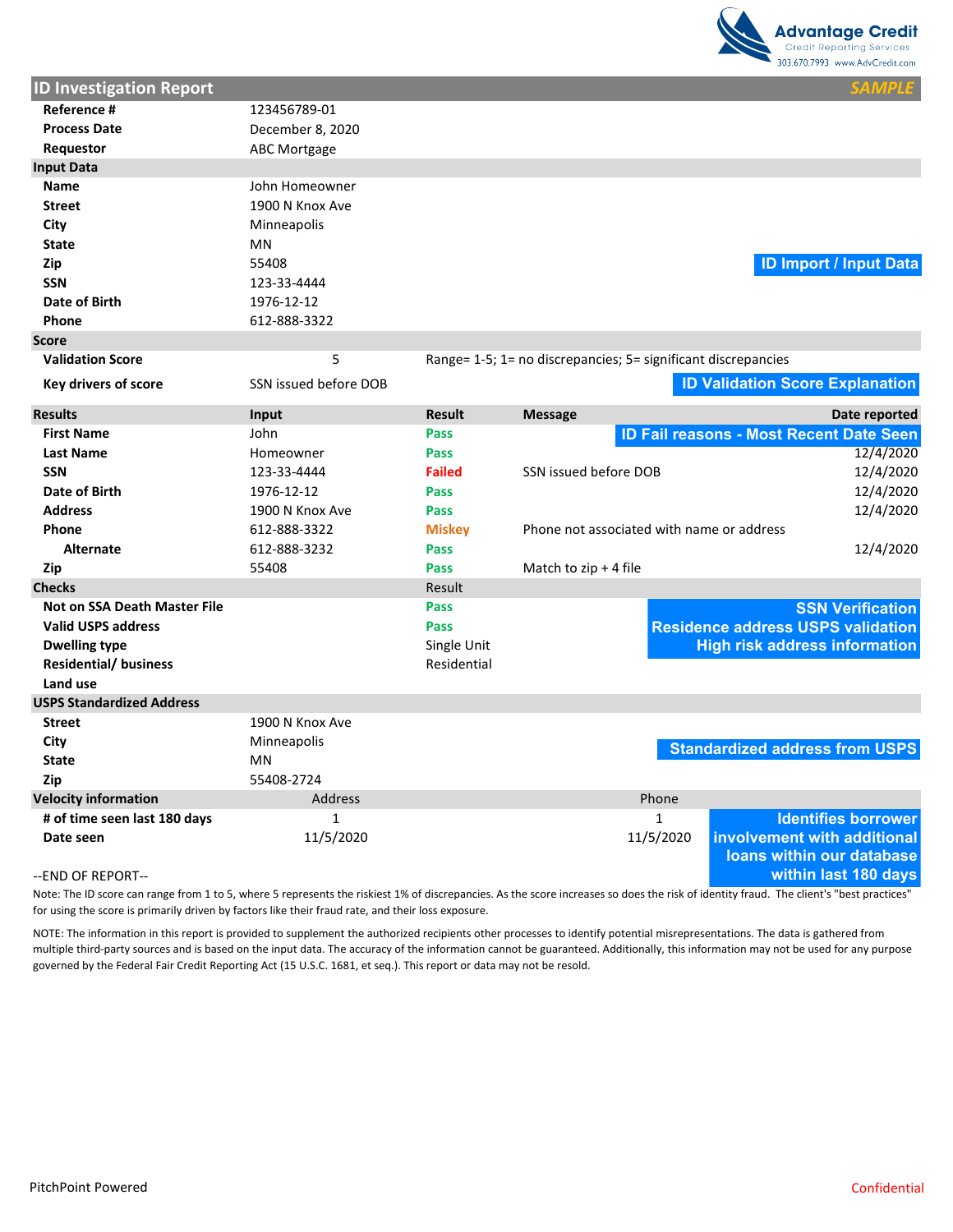

| <b>ID Investigation Report</b>      |                       |               |                                                               |                                                          |
|-------------------------------------|-----------------------|---------------|---------------------------------------------------------------|----------------------------------------------------------|
| Reference #                         | 123456789-01          |               |                                                               |                                                          |
| <b>Process Date</b>                 | December 8, 2020      |               |                                                               |                                                          |
| Requestor                           | <b>ABC Mortgage</b>   |               |                                                               |                                                          |
| <b>Input Data</b>                   |                       |               |                                                               |                                                          |
| <b>Name</b>                         | John Homeowner        |               |                                                               |                                                          |
| <b>Street</b>                       | 1900 N Knox Ave       |               |                                                               |                                                          |
| City                                | Minneapolis           |               |                                                               |                                                          |
| <b>State</b>                        | ΜN                    |               |                                                               |                                                          |
| Zip                                 | 55408                 |               |                                                               | <b>ID Import / Input Data</b>                            |
| <b>SSN</b>                          | 123-33-4444           |               |                                                               |                                                          |
| Date of Birth                       | 1976-12-12            |               |                                                               |                                                          |
| Phone                               | 612-888-3322          |               |                                                               |                                                          |
| <b>Score</b>                        |                       |               |                                                               |                                                          |
| <b>Validation Score</b>             | 5                     |               | Range= 1-5; 1= no discrepancies; 5= significant discrepancies |                                                          |
| Key drivers of score                | SSN issued before DOB |               |                                                               | <b>ID Validation Score Explanation</b>                   |
| <b>Results</b>                      | Input                 | <b>Result</b> | <b>Message</b>                                                | Date reported                                            |
| <b>First Name</b>                   | John                  | Pass          |                                                               | <b>ID Fail reasons - Most Recent Date Seen</b>           |
| <b>Last Name</b>                    | Homeowner             | Pass          |                                                               | 12/4/2020                                                |
| <b>SSN</b>                          | 123-33-4444           | <b>Failed</b> | SSN issued before DOB                                         | 12/4/2020                                                |
| Date of Birth                       | 1976-12-12            | Pass          |                                                               | 12/4/2020                                                |
| <b>Address</b>                      | 1900 N Knox Ave       | Pass          |                                                               | 12/4/2020                                                |
| Phone                               | 612-888-3322          | <b>Miskey</b> | Phone not associated with name or address                     |                                                          |
| <b>Alternate</b>                    | 612-888-3232          | Pass          |                                                               | 12/4/2020                                                |
| Zip                                 | 55408                 | Pass          | Match to $zip + 4$ file                                       |                                                          |
| <b>Checks</b>                       |                       | Result        |                                                               |                                                          |
| <b>Not on SSA Death Master File</b> |                       | Pass          |                                                               | <b>SSN Verification</b>                                  |
| <b>Valid USPS address</b>           |                       | Pass          |                                                               | <b>Residence address USPS validation</b>                 |
| <b>Dwelling type</b>                |                       | Single Unit   |                                                               | <b>High risk address information</b>                     |
| <b>Residential/ business</b>        |                       | Residential   |                                                               |                                                          |
| Land use                            |                       |               |                                                               |                                                          |
| <b>USPS Standardized Address</b>    |                       |               |                                                               |                                                          |
| <b>Street</b>                       | 1900 N Knox Ave       |               |                                                               |                                                          |
| City                                | Minneapolis           |               |                                                               | <b>Standardized address from USPS</b>                    |
| <b>State</b>                        | MN                    |               |                                                               |                                                          |
| Zip                                 | 55408-2724            |               |                                                               |                                                          |
| <b>Velocity information</b>         | Address               |               | Phone                                                         |                                                          |
| # of time seen last 180 days        | $\mathbf{1}$          |               | $\mathbf{1}$                                                  | <b>Identifies borrower</b>                               |
| Date seen                           | 11/5/2020             |               | 11/5/2020                                                     | involvement with additional<br>loans within our database |
| --END OF REPORT--                   |                       |               |                                                               | within last 180 days                                     |

Note: The ID score can range from 1 to 5, where 5 represents the riskiest 1% of discrepancies. As the score increases so does the risk of identity fraud. The client's "best practices" for using the score is primarily driven by factors like their fraud rate, and their loss exposure.

NOTE: The information in this report is provided to supplement the authorized recipients other processes to identify potential misrepresentations. The data is gathered from multiple third‐party sources and is based on the input data. The accuracy of the information cannot be guaranteed. Additionally, this information may not be used for any purpose governed by the Federal Fair Credit Reporting Act (15 U.S.C. 1681, et seq.). This report or data may not be resold.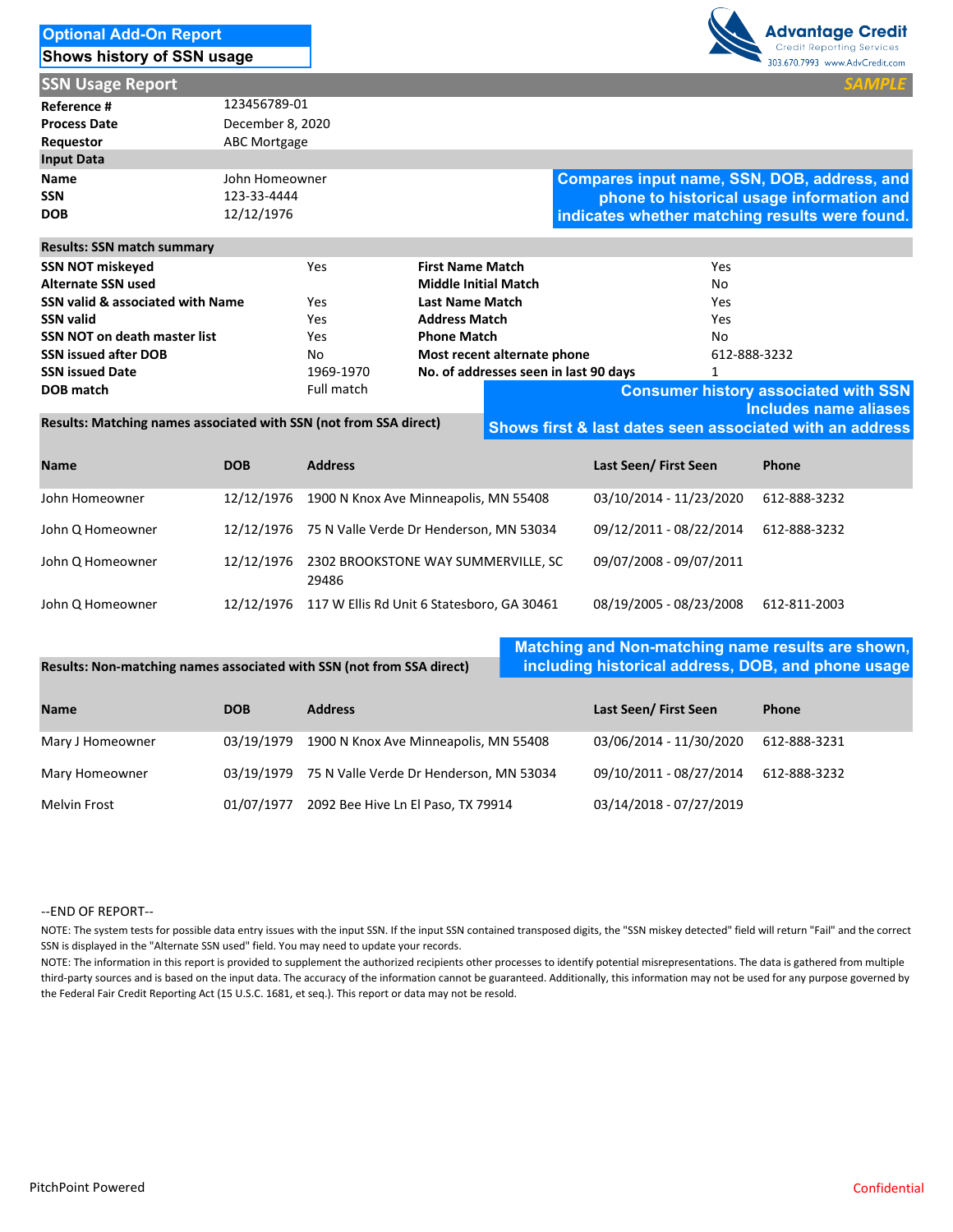| <b>Optional Add-On Report</b> |  |
|-------------------------------|--|
| Shows history of SSN usage    |  |



**SSN Usage Report** 

| Reference #         | 123456789-01        |
|---------------------|---------------------|
| <b>Process Date</b> | December 8, 2020    |
| Requestor           | <b>ABC Mortgage</b> |
| <b>Input Data</b>   |                     |
| Name                | John Homeowner      |
| <b>SSN</b>          | 123-33-4444         |
| <b>DOB</b>          | 12/12/1976          |

**Compares input name, SSN, DOB, address, and phone to historical usage information and indicates whether matching results were found.**

**Shows first & last dates seen associated with an address** 

| <b>SSN NOT miskeyed</b>             | Yes        | <b>First Name Match</b>               | Yes                                         |
|-------------------------------------|------------|---------------------------------------|---------------------------------------------|
| <b>Alternate SSN used</b>           |            | <b>Middle Initial Match</b>           | No                                          |
| SSN valid & associated with Name    | Yes        | <b>Last Name Match</b>                | Yes                                         |
| <b>SSN valid</b>                    | Yes        | <b>Address Match</b>                  | Yes                                         |
| <b>SSN NOT on death master list</b> | Yes        | <b>Phone Match</b>                    | No                                          |
| <b>SSN issued after DOB</b>         | No         | Most recent alternate phone           | 612-888-3232                                |
| <b>SSN issued Date</b>              | 1969-1970  | No. of addresses seen in last 90 days |                                             |
| DOB match                           | Full match |                                       | <b>Consumer history associated with SSN</b> |
|                                     |            |                                       | Includes name aliases                       |

**Results: Matching names associated with SSN (not from SSA direct)**

| <b>Name</b>      | <b>DOB</b> | <b>Address</b>                                             | Last Seen/First Seen    | <b>Phone</b> |
|------------------|------------|------------------------------------------------------------|-------------------------|--------------|
| John Homeowner   | 12/12/1976 | 1900 N Knox Ave Minneapolis, MN 55408                      | 03/10/2014 - 11/23/2020 | 612-888-3232 |
| John Q Homeowner |            | 12/12/1976 75 N Valle Verde Dr Henderson, MN 53034         | 09/12/2011 - 08/22/2014 | 612-888-3232 |
| John Q Homeowner |            | 12/12/1976 2302 BROOKSTONE WAY SUMMERVILLE, SC<br>30 A O C | 09/07/2008 - 09/07/2011 |              |

|                  | 29486                                                 |                                         |  |
|------------------|-------------------------------------------------------|-----------------------------------------|--|
| John Q Homeowner | 12/12/1976 117 W Ellis Rd Unit 6 Statesboro. GA 30461 | 08/19/2005 - 08/23/2008    612-811-2003 |  |

Melvin Frost 01/07/1977 2092 Bee Hive Ln El Paso, TX 79914 03/14/2018 ‐ 07/27/2019

**Name DOB Address Last Seen/ First Seen Phone** Mary J Homeowner 03/19/1979 **Results: Non‐matching names associated with SSN (not from SSA direct)** 1900 N Knox Ave Minneapolis, MN 55408 03/06/2014 ‐ 11/30/2020 612‐888‐3231 03/19/1979 75 N Valle Verde Dr Henderson, MN 53034 09/10/2011 - 08/27/2014 612-888-3232 **Matching and Non-matching name results are shown, including historical address, DOB, and phone usage**

#### ‐‐END OF REPORT‐‐

Mary Homeowner

NOTE: The system tests for possible data entry issues with the input SSN. If the input SSN contained transposed digits, the "SSN miskey detected" field will return "Fail" and the correct SSN is displayed in the "Alternate SSN used" field. You may need to update your records.

NOTE: The information in this report is provided to supplement the authorized recipients other processes to identify potential misrepresentations. The data is gathered from multiple third‐party sources and is based on the input data. The accuracy of the information cannot be guaranteed. Additionally, this information may not be used for any purpose governed by the Federal Fair Credit Reporting Act (15 U.S.C. 1681, et seq.). This report or data may not be resold.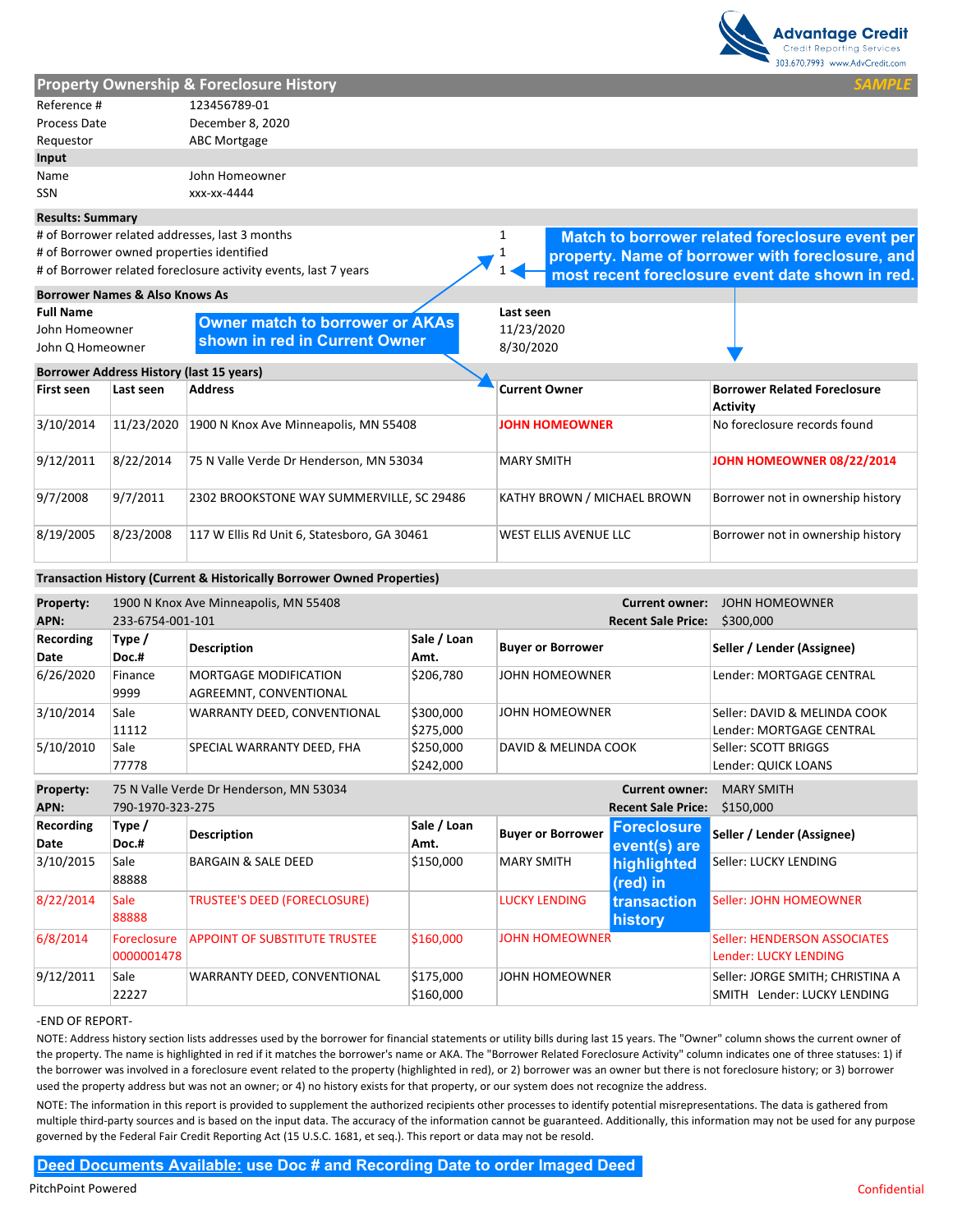

|                           |                                                 |                                                                                                                                                                                                                                                                                                                                                                                                                                                                                                                                                                                                                                                                                                                                                                                                                                                                                                                                                                                                                                                                                                                                                                                                 |                              |                      |                          |                                                    | 303.670.7993 www.AdvCredit.com                                  |
|---------------------------|-------------------------------------------------|-------------------------------------------------------------------------------------------------------------------------------------------------------------------------------------------------------------------------------------------------------------------------------------------------------------------------------------------------------------------------------------------------------------------------------------------------------------------------------------------------------------------------------------------------------------------------------------------------------------------------------------------------------------------------------------------------------------------------------------------------------------------------------------------------------------------------------------------------------------------------------------------------------------------------------------------------------------------------------------------------------------------------------------------------------------------------------------------------------------------------------------------------------------------------------------------------|------------------------------|----------------------|--------------------------|----------------------------------------------------|-----------------------------------------------------------------|
|                           |                                                 | <b>Property Ownership &amp; Foreclosure History</b>                                                                                                                                                                                                                                                                                                                                                                                                                                                                                                                                                                                                                                                                                                                                                                                                                                                                                                                                                                                                                                                                                                                                             |                              |                      |                          |                                                    | <b>SAMPL</b>                                                    |
| Reference #               |                                                 | 123456789-01                                                                                                                                                                                                                                                                                                                                                                                                                                                                                                                                                                                                                                                                                                                                                                                                                                                                                                                                                                                                                                                                                                                                                                                    |                              |                      |                          |                                                    |                                                                 |
| Process Date              |                                                 | December 8, 2020                                                                                                                                                                                                                                                                                                                                                                                                                                                                                                                                                                                                                                                                                                                                                                                                                                                                                                                                                                                                                                                                                                                                                                                |                              |                      |                          |                                                    |                                                                 |
| Requestor                 |                                                 | <b>ABC Mortgage</b>                                                                                                                                                                                                                                                                                                                                                                                                                                                                                                                                                                                                                                                                                                                                                                                                                                                                                                                                                                                                                                                                                                                                                                             |                              |                      |                          |                                                    |                                                                 |
| Input                     |                                                 |                                                                                                                                                                                                                                                                                                                                                                                                                                                                                                                                                                                                                                                                                                                                                                                                                                                                                                                                                                                                                                                                                                                                                                                                 |                              |                      |                          |                                                    |                                                                 |
| Name                      |                                                 | John Homeowner                                                                                                                                                                                                                                                                                                                                                                                                                                                                                                                                                                                                                                                                                                                                                                                                                                                                                                                                                                                                                                                                                                                                                                                  |                              |                      |                          |                                                    |                                                                 |
| <b>SSN</b>                |                                                 | xxx-xx-4444                                                                                                                                                                                                                                                                                                                                                                                                                                                                                                                                                                                                                                                                                                                                                                                                                                                                                                                                                                                                                                                                                                                                                                                     |                              |                      |                          |                                                    |                                                                 |
| <b>Results: Summary</b>   |                                                 |                                                                                                                                                                                                                                                                                                                                                                                                                                                                                                                                                                                                                                                                                                                                                                                                                                                                                                                                                                                                                                                                                                                                                                                                 |                              |                      |                          |                                                    |                                                                 |
|                           |                                                 | # of Borrower related addresses, last 3 months                                                                                                                                                                                                                                                                                                                                                                                                                                                                                                                                                                                                                                                                                                                                                                                                                                                                                                                                                                                                                                                                                                                                                  |                              | 1                    |                          |                                                    | Match to borrower related foreclosure event per                 |
|                           |                                                 | # of Borrower owned properties identified                                                                                                                                                                                                                                                                                                                                                                                                                                                                                                                                                                                                                                                                                                                                                                                                                                                                                                                                                                                                                                                                                                                                                       |                              |                      |                          |                                                    | property. Name of borrower with foreclosure, and                |
|                           |                                                 | # of Borrower related foreclosure activity events, last 7 years                                                                                                                                                                                                                                                                                                                                                                                                                                                                                                                                                                                                                                                                                                                                                                                                                                                                                                                                                                                                                                                                                                                                 |                              |                      |                          |                                                    | most recent foreclosure event date shown in red.                |
|                           | <b>Borrower Names &amp; Also Knows As</b>       |                                                                                                                                                                                                                                                                                                                                                                                                                                                                                                                                                                                                                                                                                                                                                                                                                                                                                                                                                                                                                                                                                                                                                                                                 |                              |                      |                          |                                                    |                                                                 |
| <b>Full Name</b>          |                                                 |                                                                                                                                                                                                                                                                                                                                                                                                                                                                                                                                                                                                                                                                                                                                                                                                                                                                                                                                                                                                                                                                                                                                                                                                 |                              | Last seen            |                          |                                                    |                                                                 |
| John Homeowner            |                                                 | <b>Owner match to borrower or AKAs</b>                                                                                                                                                                                                                                                                                                                                                                                                                                                                                                                                                                                                                                                                                                                                                                                                                                                                                                                                                                                                                                                                                                                                                          |                              | 11/23/2020           |                          |                                                    |                                                                 |
| John Q Homeowner          |                                                 | shown in red in Current Owner                                                                                                                                                                                                                                                                                                                                                                                                                                                                                                                                                                                                                                                                                                                                                                                                                                                                                                                                                                                                                                                                                                                                                                   |                              | 8/30/2020            |                          |                                                    |                                                                 |
|                           | <b>Borrower Address History (last 15 years)</b> |                                                                                                                                                                                                                                                                                                                                                                                                                                                                                                                                                                                                                                                                                                                                                                                                                                                                                                                                                                                                                                                                                                                                                                                                 |                              |                      |                          |                                                    |                                                                 |
| <b>First seen</b>         | Last seen                                       | <b>Address</b>                                                                                                                                                                                                                                                                                                                                                                                                                                                                                                                                                                                                                                                                                                                                                                                                                                                                                                                                                                                                                                                                                                                                                                                  |                              | <b>Current Owner</b> |                          |                                                    | <b>Borrower Related Foreclosure</b>                             |
|                           |                                                 |                                                                                                                                                                                                                                                                                                                                                                                                                                                                                                                                                                                                                                                                                                                                                                                                                                                                                                                                                                                                                                                                                                                                                                                                 |                              |                      |                          |                                                    | <b>Activity</b>                                                 |
| 3/10/2014                 | 11/23/2020                                      | 1900 N Knox Ave Minneapolis, MN 55408                                                                                                                                                                                                                                                                                                                                                                                                                                                                                                                                                                                                                                                                                                                                                                                                                                                                                                                                                                                                                                                                                                                                                           |                              |                      | <b>JOHN HOMEOWNER</b>    |                                                    | No foreclosure records found                                    |
| 9/12/2011                 | 8/22/2014                                       | 75 N Valle Verde Dr Henderson, MN 53034                                                                                                                                                                                                                                                                                                                                                                                                                                                                                                                                                                                                                                                                                                                                                                                                                                                                                                                                                                                                                                                                                                                                                         |                              | <b>MARY SMITH</b>    |                          |                                                    | JOHN HOMEOWNER 08/22/2014                                       |
| 9/7/2008                  | 9/7/2011                                        | 2302 BROOKSTONE WAY SUMMERVILLE, SC 29486                                                                                                                                                                                                                                                                                                                                                                                                                                                                                                                                                                                                                                                                                                                                                                                                                                                                                                                                                                                                                                                                                                                                                       | KATHY BROWN / MICHAEL BROWN  |                      |                          | Borrower not in ownership history                  |                                                                 |
| 8/19/2005                 | 8/23/2008                                       | 117 W Ellis Rd Unit 6, Statesboro, GA 30461                                                                                                                                                                                                                                                                                                                                                                                                                                                                                                                                                                                                                                                                                                                                                                                                                                                                                                                                                                                                                                                                                                                                                     | <b>WEST ELLIS AVENUE LLC</b> |                      |                          | Borrower not in ownership history                  |                                                                 |
|                           |                                                 | Transaction History (Current & Historically Borrower Owned Properties)                                                                                                                                                                                                                                                                                                                                                                                                                                                                                                                                                                                                                                                                                                                                                                                                                                                                                                                                                                                                                                                                                                                          |                              |                      |                          |                                                    |                                                                 |
| Property:<br>APN:         | 233-6754-001-101                                | 1900 N Knox Ave Minneapolis, MN 55408                                                                                                                                                                                                                                                                                                                                                                                                                                                                                                                                                                                                                                                                                                                                                                                                                                                                                                                                                                                                                                                                                                                                                           |                              |                      |                          | <b>Current owner:</b><br><b>Recent Sale Price:</b> | <b>JOHN HOMEOWNER</b><br>\$300,000                              |
| Recording<br>Date         | Type /<br>Doc.#                                 | <b>Description</b>                                                                                                                                                                                                                                                                                                                                                                                                                                                                                                                                                                                                                                                                                                                                                                                                                                                                                                                                                                                                                                                                                                                                                                              | Sale / Loan<br>Amt.          |                      | <b>Buyer or Borrower</b> |                                                    | Seller / Lender (Assignee)                                      |
| 6/26/2020                 | Finance<br>9999                                 | MORTGAGE MODIFICATION<br>AGREEMNT, CONVENTIONAL                                                                                                                                                                                                                                                                                                                                                                                                                                                                                                                                                                                                                                                                                                                                                                                                                                                                                                                                                                                                                                                                                                                                                 | \$206,780                    |                      | JOHN HOMEOWNER           |                                                    | Lender: MORTGAGE CENTRAL                                        |
| 3/10/2014                 | Sale<br>11112                                   | WARRANTY DEED, CONVENTIONAL                                                                                                                                                                                                                                                                                                                                                                                                                                                                                                                                                                                                                                                                                                                                                                                                                                                                                                                                                                                                                                                                                                                                                                     | \$300,000<br>\$275,000       |                      | JOHN HOMEOWNER           |                                                    | Seller: DAVID & MELINDA COOK<br>Lender: MORTGAGE CENTRAL        |
| 5/10/2010                 | Sale<br>77778                                   | SPECIAL WARRANTY DEED, FHA                                                                                                                                                                                                                                                                                                                                                                                                                                                                                                                                                                                                                                                                                                                                                                                                                                                                                                                                                                                                                                                                                                                                                                      | \$250,000<br>\$242,000       |                      | DAVID & MELINDA COOK     |                                                    | Seller: SCOTT BRIGGS<br>Lender: QUICK LOANS                     |
| Property:                 |                                                 | 75 N Valle Verde Dr Henderson, MN 53034                                                                                                                                                                                                                                                                                                                                                                                                                                                                                                                                                                                                                                                                                                                                                                                                                                                                                                                                                                                                                                                                                                                                                         |                              |                      |                          | <b>Current owner:</b>                              | <b>MARY SMITH</b>                                               |
| APN:                      | 790-1970-323-275                                |                                                                                                                                                                                                                                                                                                                                                                                                                                                                                                                                                                                                                                                                                                                                                                                                                                                                                                                                                                                                                                                                                                                                                                                                 |                              |                      |                          | <b>Recent Sale Price:</b>                          | \$150,000                                                       |
| Recording<br>Date         | Type /<br>Doc.#                                 | <b>Description</b>                                                                                                                                                                                                                                                                                                                                                                                                                                                                                                                                                                                                                                                                                                                                                                                                                                                                                                                                                                                                                                                                                                                                                                              | Sale / Loan<br>Amt.          |                      | <b>Buyer or Borrower</b> | <b>Foreclosure</b><br>event(s) are                 | Seller / Lender (Assignee)                                      |
| 3/10/2015                 | Sale<br>88888                                   | BARGAIN & SALE DEED                                                                                                                                                                                                                                                                                                                                                                                                                                                                                                                                                                                                                                                                                                                                                                                                                                                                                                                                                                                                                                                                                                                                                                             | \$150,000                    | <b>MARY SMITH</b>    |                          | highlighted<br>(red) in                            | Seller: LUCKY LENDING                                           |
| 8/22/2014                 | Sale<br>88888                                   | <b>TRUSTEE'S DEED (FORECLOSURE)</b>                                                                                                                                                                                                                                                                                                                                                                                                                                                                                                                                                                                                                                                                                                                                                                                                                                                                                                                                                                                                                                                                                                                                                             |                              | <b>LUCKY LENDING</b> |                          | transaction<br>history                             | Seller: JOHN HOMEOWNER                                          |
| 6/8/2014                  | Foreclosure<br>0000001478                       | <b>APPOINT OF SUBSTITUTE TRUSTEE</b>                                                                                                                                                                                                                                                                                                                                                                                                                                                                                                                                                                                                                                                                                                                                                                                                                                                                                                                                                                                                                                                                                                                                                            | \$160,000                    |                      | <b>JOHN HOMEOWNER</b>    |                                                    | Seller: HENDERSON ASSOCIATES<br>Lender: LUCKY LENDING           |
| 9/12/2011                 | Sale<br>22227                                   | WARRANTY DEED, CONVENTIONAL                                                                                                                                                                                                                                                                                                                                                                                                                                                                                                                                                                                                                                                                                                                                                                                                                                                                                                                                                                                                                                                                                                                                                                     | \$175,000<br>\$160,000       |                      | JOHN HOMEOWNER           |                                                    | Seller: JORGE SMITH; CHRISTINA A<br>SMITH Lender: LUCKY LENDING |
| -END OF REPORT-           |                                                 | NOTE: Address history section lists addresses used by the borrower for financial statements or utility bills during last 15 years. The "Owner" column shows the current owner of<br>the property. The name is highlighted in red if it matches the borrower's name or AKA. The "Borrower Related Foreclosure Activity" column indicates one of three statuses: 1) if<br>the borrower was involved in a foreclosure event related to the property (highlighted in red), or 2) borrower was an owner but there is not foreclosure history; or 3) borrower<br>used the property address but was not an owner; or 4) no history exists for that property, or our system does not recognize the address.<br>NOTE: The information in this report is provided to supplement the authorized recipients other processes to identify potential misrepresentations. The data is gathered from<br>multiple third-party sources and is based on the input data. The accuracy of the information cannot be guaranteed. Additionally, this information may not be used for any purpose<br>governed by the Federal Fair Credit Reporting Act (15 U.S.C. 1681, et seq.). This report or data may not be resold. |                              |                      |                          |                                                    |                                                                 |
|                           |                                                 |                                                                                                                                                                                                                                                                                                                                                                                                                                                                                                                                                                                                                                                                                                                                                                                                                                                                                                                                                                                                                                                                                                                                                                                                 |                              |                      |                          |                                                    |                                                                 |
|                           |                                                 | <b>Deed Documents Available: use Doc # and Recording Date to order Imaged Deed</b>                                                                                                                                                                                                                                                                                                                                                                                                                                                                                                                                                                                                                                                                                                                                                                                                                                                                                                                                                                                                                                                                                                              |                              |                      |                          |                                                    |                                                                 |
| <b>PitchPoint Powered</b> |                                                 |                                                                                                                                                                                                                                                                                                                                                                                                                                                                                                                                                                                                                                                                                                                                                                                                                                                                                                                                                                                                                                                                                                                                                                                                 |                              |                      |                          |                                                    | Confidential                                                    |

| APN:             | <b>Recent Sale Price:</b><br>790-1970-323-275<br>\$150,000 |                                      |             |                          |                     |                                  |
|------------------|------------------------------------------------------------|--------------------------------------|-------------|--------------------------|---------------------|----------------------------------|
| <b>Recording</b> | Type /                                                     | <b>Description</b>                   | Sale / Loan | <b>Buyer or Borrower</b> | <b>Foreclosure</b>  | Seller / Lender (Assignee)       |
| Date             | Doc.#                                                      |                                      | Amt.        |                          | event(s) are        |                                  |
| 3/10/2015        | Sale                                                       | <b>BARGAIN &amp; SALE DEED</b>       | \$150,000   | <b>MARY SMITH</b>        | highlighted         | Seller: LUCKY LENDING            |
|                  | 88888                                                      |                                      |             |                          | (red) in            |                                  |
| 8/22/2014        | Sale                                                       | <b>TRUSTEE'S DEED (FORECLOSURE)</b>  |             | <b>LUCKY LENDING</b>     | <b>Itransaction</b> | Seller: JOHN HOMEOWNER           |
|                  | 88888                                                      |                                      |             |                          | <b>history</b>      |                                  |
| 6/8/2014         | <b>Foreclosure</b>                                         | <b>APPOINT OF SUBSTITUTE TRUSTEE</b> | \$160,000   | <b>JOHN HOMEOWNER</b>    |                     | Seller: HENDERSON ASSOCIATES     |
|                  | 0000001478                                                 |                                      |             |                          |                     | Lender: LUCKY LENDING            |
| 9/12/2011        | Sale                                                       | WARRANTY DEED, CONVENTIONAL          | \$175,000   | JOHN HOMEOWNER           |                     | Seller: JORGE SMITH; CHRISTINA A |
|                  | 22227                                                      |                                      | \$160,000   |                          |                     | SMITH Lender: LUCKY LENDING      |

#### ‐END OF REPORT‐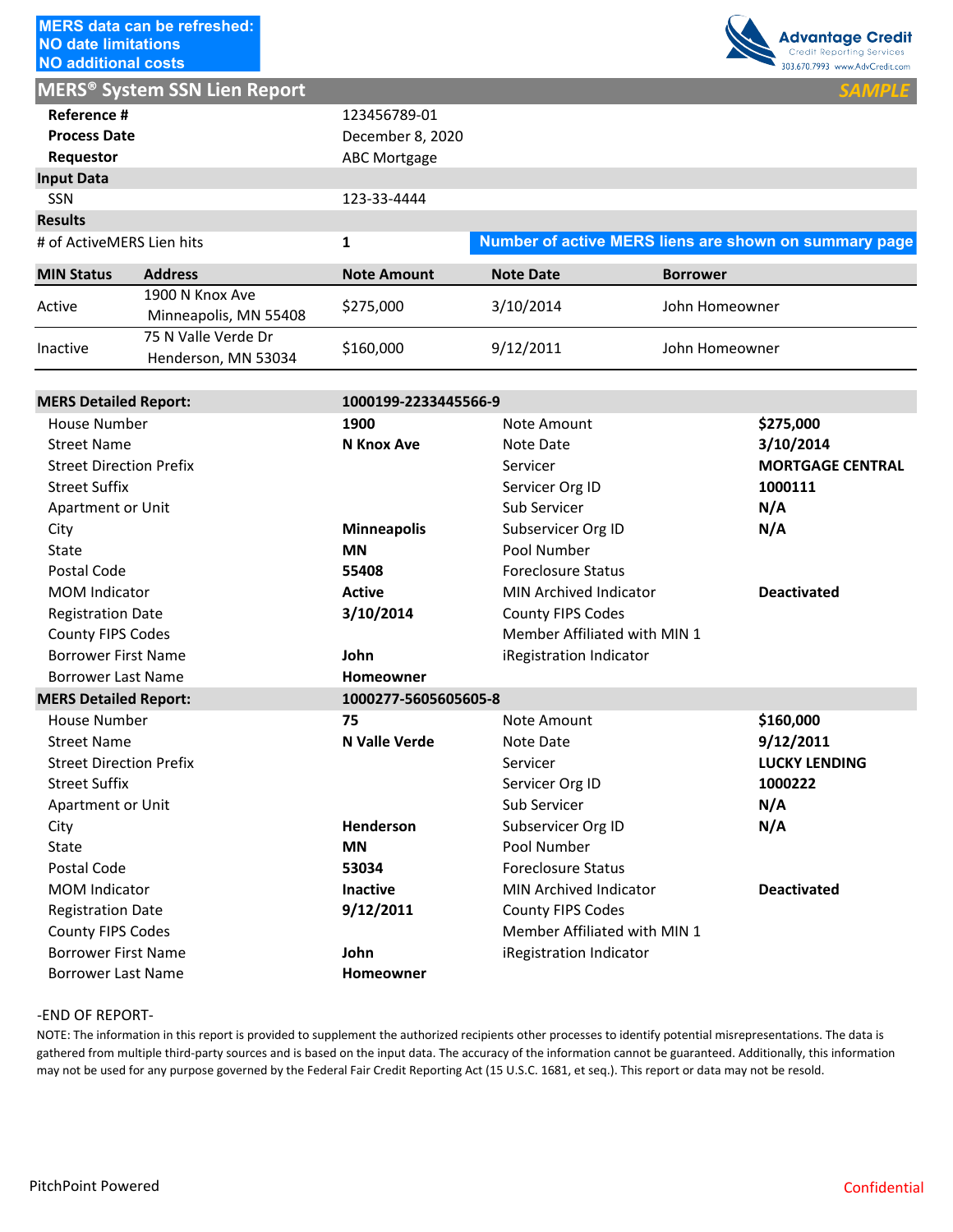

| <b>NO additional costs</b> |                                                |                    |                  | 303.670.7993 www.AdvCredit.com                        |
|----------------------------|------------------------------------------------|--------------------|------------------|-------------------------------------------------------|
|                            | <b>MERS<sup>®</sup> System SSN Lien Report</b> |                    |                  | <b>SAMPLE</b>                                         |
| Reference #                |                                                | 123456789-01       |                  |                                                       |
| <b>Process Date</b>        |                                                | December 8, 2020   |                  |                                                       |
| Requestor                  |                                                | ABC Mortgage       |                  |                                                       |
| <b>Input Data</b>          |                                                |                    |                  |                                                       |
| <b>SSN</b>                 |                                                | 123-33-4444        |                  |                                                       |
| <b>Results</b>             |                                                |                    |                  |                                                       |
| # of ActiveMERS Lien hits  |                                                | 1                  |                  | Number of active MERS liens are shown on summary page |
| <b>MIN Status</b>          | <b>Address</b>                                 | <b>Note Amount</b> | <b>Note Date</b> | <b>Borrower</b>                                       |
|                            | 1900 N Knox Ave                                |                    | 3/10/2014        | John Homeowner                                        |
| Active                     | Minneapolis, MN 55408                          | \$275,000          |                  |                                                       |
|                            | 75 N Valle Verde Dr                            |                    |                  |                                                       |
| Inactive                   | Henderson, MN 53034                            | \$160,000          | 9/12/2011        | John Homeowner                                        |

|                                             | <b>MERS<sup>®</sup> System SSN Lien Report</b>                                                                                                      |                      |                               | <b>SAMPLE</b>                                                                                                                                                                                                                                                                                                                     |
|---------------------------------------------|-----------------------------------------------------------------------------------------------------------------------------------------------------|----------------------|-------------------------------|-----------------------------------------------------------------------------------------------------------------------------------------------------------------------------------------------------------------------------------------------------------------------------------------------------------------------------------|
| Reference #<br><b>Process Date</b>          |                                                                                                                                                     | 123456789-01         |                               |                                                                                                                                                                                                                                                                                                                                   |
|                                             |                                                                                                                                                     | December 8, 2020     |                               |                                                                                                                                                                                                                                                                                                                                   |
| Requestor                                   |                                                                                                                                                     | <b>ABC Mortgage</b>  |                               |                                                                                                                                                                                                                                                                                                                                   |
| <b>Input Data</b>                           |                                                                                                                                                     |                      |                               |                                                                                                                                                                                                                                                                                                                                   |
| SSN                                         |                                                                                                                                                     | 123-33-4444          |                               |                                                                                                                                                                                                                                                                                                                                   |
| <b>Results</b><br># of ActiveMERS Lien hits |                                                                                                                                                     | $\mathbf{1}$         |                               | Number of active MERS liens are shown on summary page                                                                                                                                                                                                                                                                             |
|                                             |                                                                                                                                                     |                      |                               |                                                                                                                                                                                                                                                                                                                                   |
| <b>MIN Status</b>                           | <b>Address</b><br>1900 N Knox Ave                                                                                                                   | <b>Note Amount</b>   | <b>Note Date</b>              | <b>Borrower</b>                                                                                                                                                                                                                                                                                                                   |
| Active                                      | Minneapolis, MN 55408<br>75 N Valle Verde Dr                                                                                                        | \$275,000            | 3/10/2014                     | John Homeowner                                                                                                                                                                                                                                                                                                                    |
| Inactive                                    | Henderson, MN 53034                                                                                                                                 | \$160,000            | 9/12/2011                     | John Homeowner                                                                                                                                                                                                                                                                                                                    |
|                                             |                                                                                                                                                     |                      |                               |                                                                                                                                                                                                                                                                                                                                   |
| <b>MERS Detailed Report:</b>                |                                                                                                                                                     | 1000199-2233445566-9 |                               |                                                                                                                                                                                                                                                                                                                                   |
| House Number                                |                                                                                                                                                     | 1900                 | Note Amount                   | \$275,000                                                                                                                                                                                                                                                                                                                         |
| <b>Street Name</b>                          |                                                                                                                                                     | <b>N</b> Knox Ave    | Note Date                     | 3/10/2014                                                                                                                                                                                                                                                                                                                         |
| <b>Street Direction Prefix</b>              |                                                                                                                                                     |                      | Servicer                      | <b>MORTGAGE CENTRAL</b>                                                                                                                                                                                                                                                                                                           |
| <b>Street Suffix</b>                        |                                                                                                                                                     |                      | Servicer Org ID               | 1000111                                                                                                                                                                                                                                                                                                                           |
| Apartment or Unit                           |                                                                                                                                                     |                      | Sub Servicer                  | N/A                                                                                                                                                                                                                                                                                                                               |
| City                                        |                                                                                                                                                     | <b>Minneapolis</b>   | Subservicer Org ID            | N/A                                                                                                                                                                                                                                                                                                                               |
| State                                       |                                                                                                                                                     | <b>MN</b>            | Pool Number                   |                                                                                                                                                                                                                                                                                                                                   |
| Postal Code                                 |                                                                                                                                                     | 55408                | <b>Foreclosure Status</b>     |                                                                                                                                                                                                                                                                                                                                   |
| <b>MOM Indicator</b>                        |                                                                                                                                                     | <b>Active</b>        | <b>MIN Archived Indicator</b> | <b>Deactivated</b>                                                                                                                                                                                                                                                                                                                |
| <b>Registration Date</b>                    |                                                                                                                                                     | 3/10/2014            | <b>County FIPS Codes</b>      |                                                                                                                                                                                                                                                                                                                                   |
| <b>County FIPS Codes</b>                    |                                                                                                                                                     |                      | Member Affiliated with MIN 1  |                                                                                                                                                                                                                                                                                                                                   |
| <b>Borrower First Name</b>                  |                                                                                                                                                     | John                 | iRegistration Indicator       |                                                                                                                                                                                                                                                                                                                                   |
| <b>Borrower Last Name</b>                   |                                                                                                                                                     | Homeowner            |                               |                                                                                                                                                                                                                                                                                                                                   |
| <b>MERS Detailed Report:</b>                |                                                                                                                                                     | 1000277-5605605605-8 |                               |                                                                                                                                                                                                                                                                                                                                   |
| House Number                                |                                                                                                                                                     |                      | Note Amount                   | \$160,000                                                                                                                                                                                                                                                                                                                         |
| <b>Street Name</b>                          |                                                                                                                                                     | N Valle Verde        | Note Date                     | 9/12/2011                                                                                                                                                                                                                                                                                                                         |
| <b>Street Direction Prefix</b>              |                                                                                                                                                     |                      | Servicer                      | <b>LUCKY LENDING</b>                                                                                                                                                                                                                                                                                                              |
| <b>Street Suffix</b>                        |                                                                                                                                                     |                      | Servicer Org ID               | 1000222                                                                                                                                                                                                                                                                                                                           |
| Apartment or Unit                           |                                                                                                                                                     |                      | Sub Servicer                  | N/A                                                                                                                                                                                                                                                                                                                               |
| City                                        |                                                                                                                                                     | Henderson            | Subservicer Org ID            | N/A                                                                                                                                                                                                                                                                                                                               |
| State                                       |                                                                                                                                                     | <b>MN</b>            | Pool Number                   |                                                                                                                                                                                                                                                                                                                                   |
| Postal Code                                 |                                                                                                                                                     | 53034                | <b>Foreclosure Status</b>     |                                                                                                                                                                                                                                                                                                                                   |
| <b>MOM Indicator</b>                        |                                                                                                                                                     | <b>Inactive</b>      | <b>MIN Archived Indicator</b> | <b>Deactivated</b>                                                                                                                                                                                                                                                                                                                |
| <b>Registration Date</b>                    |                                                                                                                                                     | 9/12/2011            | County FIPS Codes             |                                                                                                                                                                                                                                                                                                                                   |
| County FIPS Codes                           |                                                                                                                                                     |                      | Member Affiliated with MIN 1  |                                                                                                                                                                                                                                                                                                                                   |
| <b>Borrower First Name</b>                  |                                                                                                                                                     | John                 | iRegistration Indicator       |                                                                                                                                                                                                                                                                                                                                   |
| <b>Borrower Last Name</b>                   |                                                                                                                                                     | Homeowner            |                               |                                                                                                                                                                                                                                                                                                                                   |
| -END OF REPORT-                             | may not be used for any purpose governed by the Federal Fair Credit Reporting Act (15 U.S.C. 1681, et seq.). This report or data may not be resold. |                      |                               | NOTE: The information in this report is provided to supplement the authorized recipients other processes to identify potential misrepresentations. The data is<br>gathered from multiple third-party sources and is based on the input data. The accuracy of the information cannot be guaranteed. Additionally, this information |

### ‐END OF REPORT‐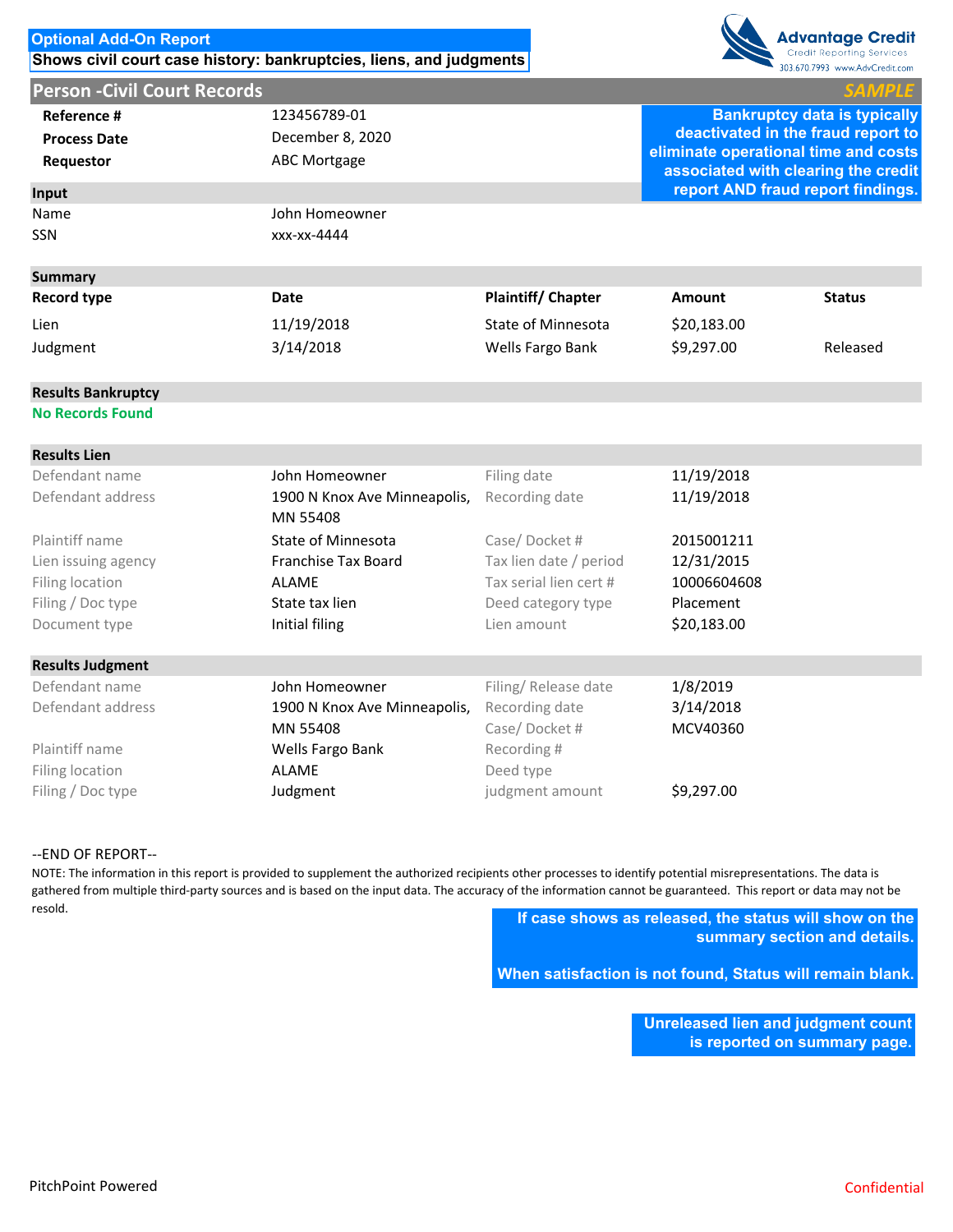# **Optional Add-On Report Shows civil court case history: bankruptcies, liens, and judgments**





| Reference #         | 123456789-01     |                           |                                    | <b>Bankruptcy data is typically</b>                                         |  |  |
|---------------------|------------------|---------------------------|------------------------------------|-----------------------------------------------------------------------------|--|--|
| <b>Process Date</b> | December 8, 2020 |                           | deactivated in the fraud report to |                                                                             |  |  |
| Requestor           | ABC Mortgage     |                           |                                    | eliminate operational time and costs<br>associated with clearing the credit |  |  |
| Input               |                  |                           |                                    | report AND fraud report findings.                                           |  |  |
| Name                | John Homeowner   |                           |                                    |                                                                             |  |  |
| <b>SSN</b>          | xxx-xx-4444      |                           |                                    |                                                                             |  |  |
| <b>Summary</b>      |                  |                           |                                    |                                                                             |  |  |
| Record type         | Date             | <b>Plaintiff/Chapter</b>  | Amount                             | <b>Status</b>                                                               |  |  |
| Lien                | 11/19/2018       | <b>State of Minnesota</b> | \$20,183.00                        |                                                                             |  |  |
| Judgment            | 3/14/2018        | Wells Fargo Bank          | \$9,297.00                         | Released                                                                    |  |  |
|                     |                  |                           |                                    |                                                                             |  |  |

# **Results Bankruptcy**

**No Records Found**

| <b>Results Lien</b>     |                              |                        |             |
|-------------------------|------------------------------|------------------------|-------------|
| Defendant name          | John Homeowner               | Filing date            | 11/19/2018  |
| Defendant address       | 1900 N Knox Ave Minneapolis, | Recording date         | 11/19/2018  |
|                         | MN 55408                     |                        |             |
| Plaintiff name          | State of Minnesota           | Case/Docket#           | 2015001211  |
| Lien issuing agency     | Franchise Tax Board          | Tax lien date / period | 12/31/2015  |
| Filing location         | <b>ALAME</b>                 | Tax serial lien cert # | 10006604608 |
| Filing / Doc type       | State tax lien               | Deed category type     | Placement   |
| Document type           | Initial filing               | Lien amount            | \$20,183.00 |
| <b>Results Judgment</b> |                              |                        |             |
| Defendant name          | John Homeowner               | Filing/Release date    | 1/8/2019    |
| Defendant address       | 1900 N Knox Ave Minneapolis, | Recording date         | 3/14/2018   |
|                         | MN 55408                     | Case/Docket#           | MCV40360    |
| Plaintiff name          | Wells Fargo Bank             | Recording#             |             |
| Filing location         | ALAME                        | Deed type              |             |
| Filing / Doc type       | Judgment                     | judgment amount        | \$9,297.00  |
|                         |                              |                        |             |

### ‐‐END OF REPORT‐‐

NOTE: The information in this report is provided to supplement the authorized recipients other processes to identify potential misrepresentations. The data is gathered from multiple third-party sources and is based on the input data. The accuracy of the information cannot be guaranteed. This report or data may not be resold.

**If case shows as released, the status will show on the summary section and details.** 

**When satisfaction is not found, Status will remain blank.**

**Unreleased lien and judgment count is reported on summary page.**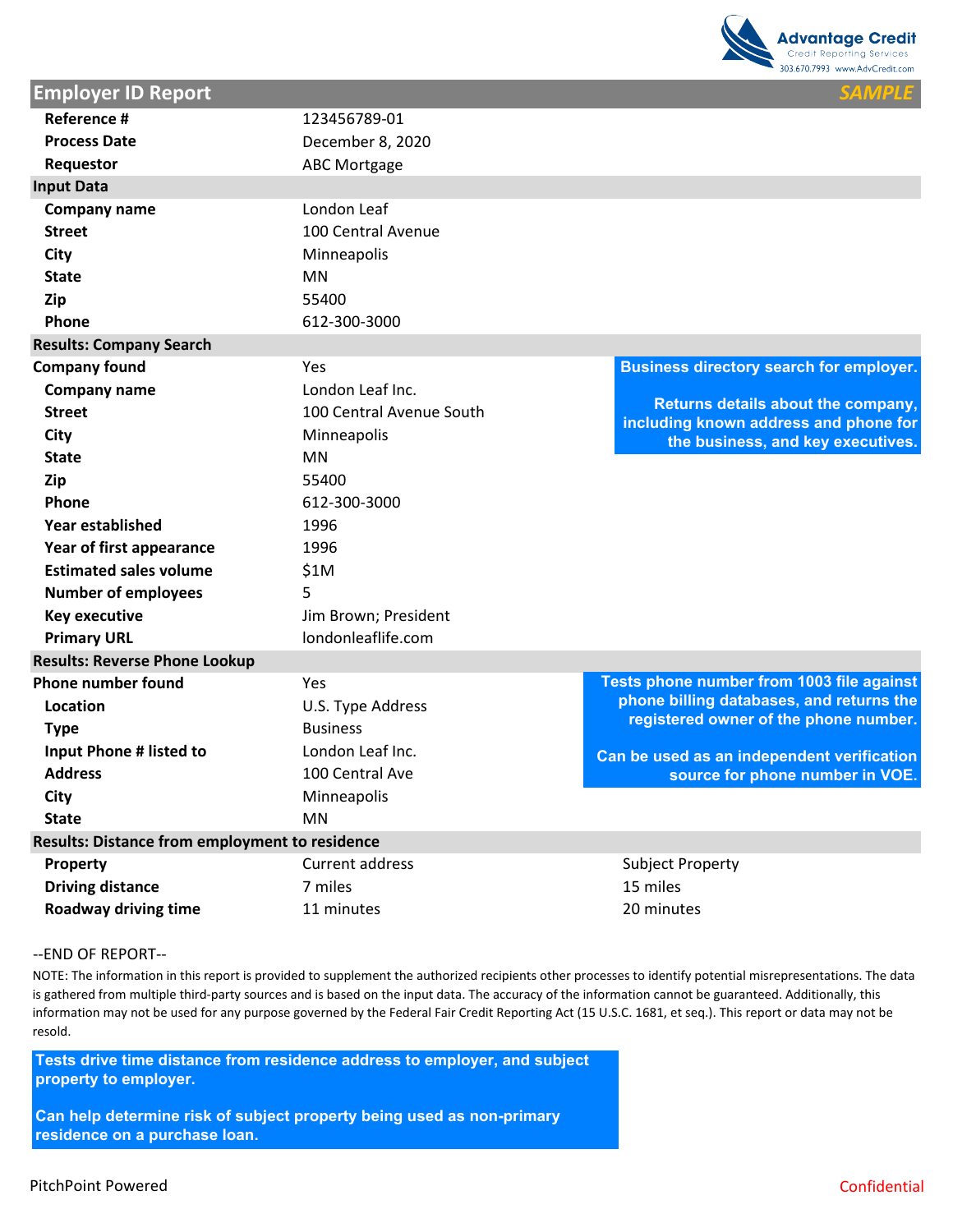

| Reference #                                           | 123456789-01             |                                                                             |
|-------------------------------------------------------|--------------------------|-----------------------------------------------------------------------------|
| <b>Process Date</b>                                   | December 8, 2020         |                                                                             |
| Requestor                                             | <b>ABC Mortgage</b>      |                                                                             |
| <b>Input Data</b>                                     |                          |                                                                             |
| Company name                                          | London Leaf              |                                                                             |
| <b>Street</b>                                         | 100 Central Avenue       |                                                                             |
| <b>City</b>                                           | Minneapolis              |                                                                             |
| <b>State</b>                                          | <b>MN</b>                |                                                                             |
| Zip                                                   | 55400                    |                                                                             |
| Phone                                                 | 612-300-3000             |                                                                             |
| <b>Results: Company Search</b>                        |                          |                                                                             |
| <b>Company found</b>                                  | Yes                      | <b>Business directory search for employer.</b>                              |
| Company name                                          | London Leaf Inc.         |                                                                             |
| <b>Street</b>                                         | 100 Central Avenue South | Returns details about the company,<br>including known address and phone for |
| <b>City</b>                                           | Minneapolis              | the business, and key executives.                                           |
| <b>State</b>                                          | <b>MN</b>                |                                                                             |
| Zip                                                   | 55400                    |                                                                             |
| Phone                                                 | 612-300-3000             |                                                                             |
| Year established                                      | 1996                     |                                                                             |
| Year of first appearance                              | 1996                     |                                                                             |
| <b>Estimated sales volume</b>                         | \$1M                     |                                                                             |
| <b>Number of employees</b>                            | 5                        |                                                                             |
| <b>Key executive</b>                                  | Jim Brown; President     |                                                                             |
| <b>Primary URL</b>                                    | londonleaflife.com       |                                                                             |
| <b>Results: Reverse Phone Lookup</b>                  |                          |                                                                             |
| <b>Phone number found</b>                             | Yes                      | Tests phone number from 1003 file against                                   |
| Location                                              | U.S. Type Address        | phone billing databases, and returns the                                    |
| <b>Type</b>                                           | <b>Business</b>          | registered owner of the phone number.                                       |
| Input Phone # listed to                               | London Leaf Inc.         | Can be used as an independent verification                                  |
| <b>Address</b>                                        | 100 Central Ave          | source for phone number in VOE.                                             |
| <b>City</b>                                           | Minneapolis              |                                                                             |
| <b>State</b>                                          | <b>MN</b>                |                                                                             |
| <b>Results: Distance from employment to residence</b> |                          |                                                                             |
| Property                                              | <b>Current address</b>   | <b>Subject Property</b>                                                     |
| <b>Driving distance</b>                               | 7 miles                  | 15 miles                                                                    |
| Roadway driving time                                  | 11 minutes               | 20 minutes                                                                  |

#### ‐‐END OF REPORT‐‐

**Employer ID Report** 

NOTE: The information in this report is provided to supplement the authorized recipients other processes to identify potential misrepresentations. The data is gathered from multiple third-party sources and is based on the input data. The accuracy of the information cannot be guaranteed. Additionally, this information may not be used for any purpose governed by the Federal Fair Credit Reporting Act (15 U.S.C. 1681, et seq.). This report or data may not be resold.

**Tests drive time distance from residence address to employer, and subject property to employer.** 

**Can help determine risk of subject property being used as non-primary residence on a purchase loan.**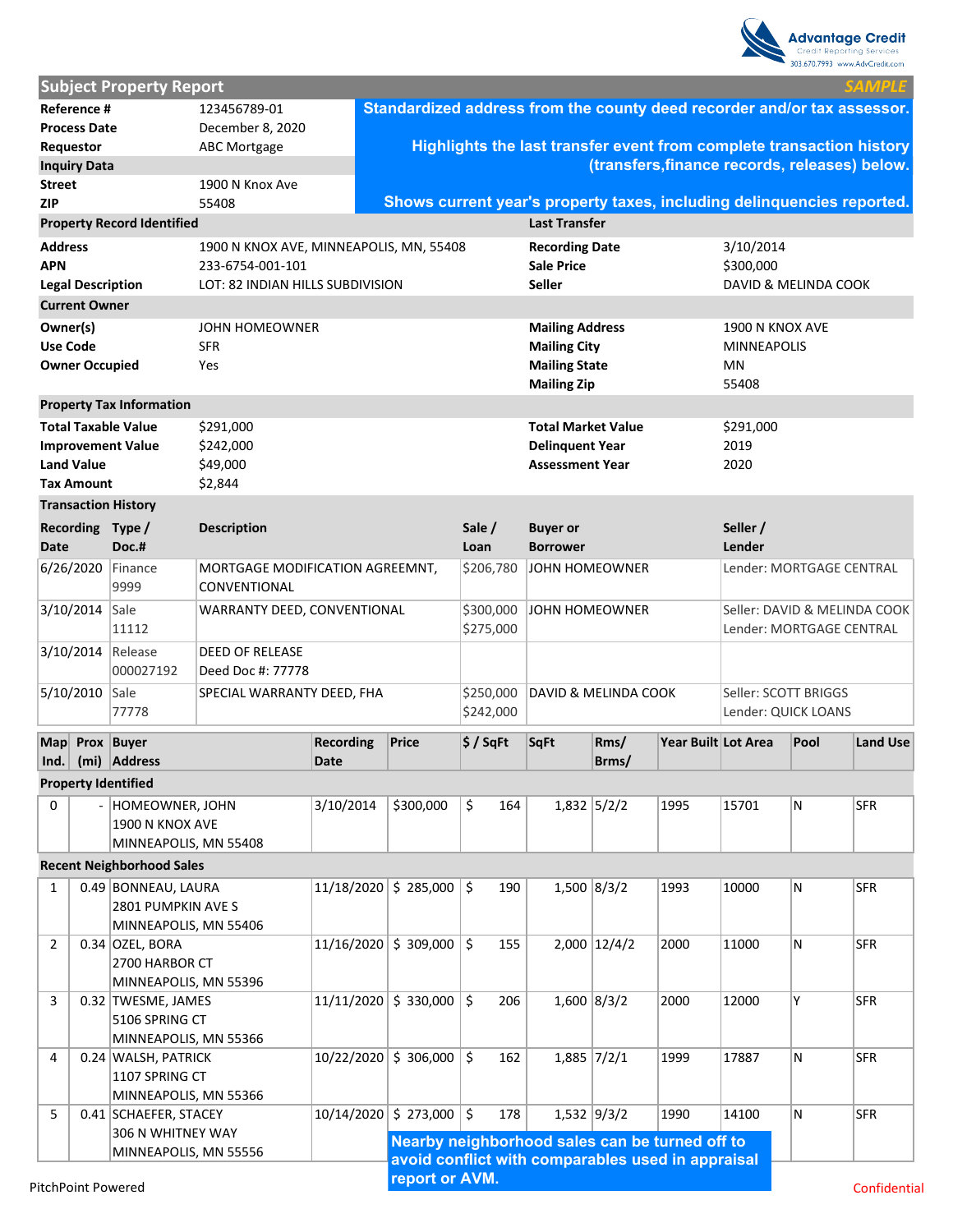|                 |                          |                                                        |                                         |                          |                                                                         |                          |                                                         |                |                                                   |                      |                              | <b>Advantage Credit</b><br>Credit Reporting Services<br>303.670.7993 www.AdvCredit.com |
|-----------------|--------------------------|--------------------------------------------------------|-----------------------------------------|--------------------------|-------------------------------------------------------------------------|--------------------------|---------------------------------------------------------|----------------|---------------------------------------------------|----------------------|------------------------------|----------------------------------------------------------------------------------------|
|                 |                          | <b>Subject Property Report</b>                         |                                         |                          |                                                                         |                          |                                                         |                |                                                   |                      |                              | <b>SAMPLE</b>                                                                          |
|                 | Reference #              |                                                        | 123456789-01                            |                          | Standardized address from the county deed recorder and/or tax assessor. |                          |                                                         |                |                                                   |                      |                              |                                                                                        |
|                 | <b>Process Date</b>      |                                                        | December 8, 2020                        |                          |                                                                         |                          |                                                         |                |                                                   |                      |                              |                                                                                        |
|                 | Requestor                |                                                        | <b>ABC Mortgage</b>                     |                          |                                                                         |                          |                                                         |                |                                                   |                      |                              | Highlights the last transfer event from complete transaction history                   |
|                 | <b>Inquiry Data</b>      |                                                        |                                         |                          |                                                                         |                          |                                                         |                |                                                   |                      |                              | (transfers, finance records, releases) below.                                          |
| <b>Street</b>   |                          |                                                        | 1900 N Knox Ave                         |                          |                                                                         |                          |                                                         |                |                                                   |                      |                              |                                                                                        |
| <b>ZIP</b>      |                          |                                                        | 55408                                   |                          | Shows current year's property taxes, including delinquencies reported.  |                          |                                                         |                |                                                   |                      |                              |                                                                                        |
|                 |                          | <b>Property Record Identified</b>                      |                                         |                          |                                                                         |                          | <b>Last Transfer</b>                                    |                |                                                   |                      |                              |                                                                                        |
| <b>Address</b>  |                          |                                                        | 1900 N KNOX AVE, MINNEAPOLIS, MN, 55408 |                          |                                                                         |                          | <b>Recording Date</b>                                   |                |                                                   | 3/10/2014            |                              |                                                                                        |
| <b>APN</b>      |                          |                                                        | 233-6754-001-101                        |                          |                                                                         | <b>Sale Price</b>        |                                                         |                | \$300,000                                         |                      |                              |                                                                                        |
|                 | <b>Legal Description</b> |                                                        | LOT: 82 INDIAN HILLS SUBDIVISION        |                          |                                                                         |                          | <b>Seller</b>                                           |                |                                                   | DAVID & MELINDA COOK |                              |                                                                                        |
|                 | <b>Current Owner</b>     |                                                        |                                         |                          |                                                                         |                          |                                                         |                |                                                   |                      |                              |                                                                                        |
| Owner(s)        |                          |                                                        | <b>JOHN HOMEOWNER</b>                   |                          |                                                                         |                          | <b>Mailing Address</b>                                  |                |                                                   | 1900 N KNOX AVE      |                              |                                                                                        |
| <b>Use Code</b> |                          |                                                        | <b>SFR</b>                              |                          |                                                                         |                          | <b>Mailing City</b>                                     |                |                                                   | <b>MINNEAPOLIS</b>   |                              |                                                                                        |
|                 | <b>Owner Occupied</b>    |                                                        | Yes                                     |                          |                                                                         |                          | <b>Mailing State</b>                                    |                |                                                   | MN                   |                              |                                                                                        |
|                 |                          | <b>Property Tax Information</b>                        |                                         |                          |                                                                         |                          | <b>Mailing Zip</b>                                      |                |                                                   | 55408                |                              |                                                                                        |
|                 |                          |                                                        |                                         |                          |                                                                         |                          |                                                         |                |                                                   |                      |                              |                                                                                        |
|                 |                          | <b>Total Taxable Value</b><br><b>Improvement Value</b> | \$291,000<br>\$242,000                  |                          |                                                                         |                          | Total Market Value<br><b>Delinquent Year</b>            |                |                                                   | \$291,000<br>2019    |                              |                                                                                        |
|                 | <b>Land Value</b>        |                                                        | \$49,000                                |                          |                                                                         |                          | <b>Assessment Year</b>                                  |                |                                                   | 2020                 |                              |                                                                                        |
|                 | <b>Tax Amount</b>        |                                                        | \$2,844                                 |                          |                                                                         |                          |                                                         |                |                                                   |                      |                              |                                                                                        |
|                 |                          | <b>Transaction History</b>                             |                                         |                          |                                                                         |                          |                                                         |                |                                                   |                      |                              |                                                                                        |
|                 |                          | Recording Type /                                       | <b>Description</b>                      |                          |                                                                         | Sale /                   | <b>Buyer or</b>                                         |                |                                                   | Seller /             |                              |                                                                                        |
| Date            |                          | Doc.#                                                  |                                         |                          |                                                                         | Loan                     | <b>Borrower</b>                                         |                |                                                   | Lender               |                              |                                                                                        |
|                 | 6/26/2020                | Finance                                                | MORTGAGE MODIFICATION AGREEMNT,         |                          |                                                                         | \$206,780                | JOHN HOMEOWNER                                          |                |                                                   |                      |                              | Lender: MORTGAGE CENTRAL                                                               |
|                 |                          | 9999                                                   | CONVENTIONAL                            |                          |                                                                         |                          |                                                         |                |                                                   |                      |                              |                                                                                        |
|                 | 3/10/2014                | Sale                                                   | WARRANTY DEED, CONVENTIONAL             |                          | \$300,000                                                               | JOHN HOMEOWNER           |                                                         |                |                                                   |                      | Seller: DAVID & MELINDA COOK |                                                                                        |
|                 |                          | 11112                                                  |                                         |                          | \$275,000                                                               | Lender: MORTGAGE CENTRAL |                                                         |                |                                                   |                      |                              |                                                                                        |
|                 | 3/10/2014                | Release                                                | <b>DEED OF RELEASE</b>                  |                          |                                                                         |                          |                                                         |                |                                                   |                      |                              |                                                                                        |
|                 |                          | 000027192                                              | Deed Doc #: 77778                       |                          |                                                                         |                          |                                                         |                |                                                   |                      |                              |                                                                                        |
|                 | 5/10/2010                | Sale                                                   | SPECIAL WARRANTY DEED, FHA              |                          |                                                                         | \$250,000                | <b>DAVID &amp; MELINDA COOK</b><br>Seller: SCOTT BRIGGS |                |                                                   |                      |                              |                                                                                        |
|                 |                          | 77778                                                  |                                         |                          |                                                                         | \$242,000                |                                                         |                |                                                   | Lender: QUICK LOANS  |                              |                                                                                        |
|                 |                          |                                                        |                                         |                          |                                                                         |                          |                                                         |                |                                                   |                      |                              |                                                                                        |
| Ind.            |                          | Map Prox Buyer<br>(mi) Address                         |                                         | <b>Recording</b><br>Date | <b>Price</b>                                                            | $$$ / SqFt               | <b>SqFt</b>                                             | Rms/<br>Brms/  | Year Built Lot Area                               |                      | Pool                         | <b>Land Use</b>                                                                        |
|                 |                          |                                                        |                                         |                          |                                                                         |                          |                                                         |                |                                                   |                      |                              |                                                                                        |
|                 |                          | <b>Property Identified</b>                             |                                         |                          |                                                                         |                          |                                                         |                |                                                   |                      |                              |                                                                                        |
| 0               |                          | - HOMEOWNER, JOHN<br>1900 N KNOX AVE                   |                                         | 3/10/2014                | \$300,000                                                               | \$<br>164                |                                                         | $1,832$ 5/2/2  | 1995                                              | 15701                | M,                           | <b>SFR</b>                                                                             |
|                 |                          | MINNEAPOLIS, MN 55408                                  |                                         |                          |                                                                         |                          |                                                         |                |                                                   |                      |                              |                                                                                        |
|                 |                          | <b>Recent Neighborhood Sales</b>                       |                                         |                          |                                                                         |                          |                                                         |                |                                                   |                      |                              |                                                                                        |
| $\mathbf{1}$    |                          | 0.49 BONNEAU, LAURA                                    |                                         |                          | $11/18/2020$ \$ 285,000                                                 | \$<br>190                |                                                         | $1,500$ 8/3/2  | 1993                                              | 10000                | N.                           | <b>SFR</b>                                                                             |
|                 |                          | 2801 PUMPKIN AVE S                                     |                                         |                          |                                                                         |                          |                                                         |                |                                                   |                      |                              |                                                                                        |
|                 |                          | MINNEAPOLIS, MN 55406                                  |                                         |                          |                                                                         |                          |                                                         |                |                                                   |                      |                              |                                                                                        |
| $\overline{2}$  |                          | $0.34$ OZEL, BORA                                      |                                         |                          | 11/16/2020 \$309,000                                                    | \$<br>155                |                                                         | $2,000$ 12/4/2 | 2000                                              | 11000                | N.                           | SFR                                                                                    |
|                 |                          | 2700 HARBOR CT                                         |                                         |                          |                                                                         |                          |                                                         |                |                                                   |                      |                              |                                                                                        |
|                 |                          | MINNEAPOLIS, MN 55396                                  |                                         |                          |                                                                         |                          |                                                         |                |                                                   |                      |                              |                                                                                        |
| 3               |                          | 0.32 TWESME, JAMES                                     |                                         |                          | $11/11/2020$ \$ 330,000                                                 | \$<br>206                |                                                         | $1,600$ 8/3/2  | 2000                                              | 12000                | Υ                            | <b>SFR</b>                                                                             |
|                 |                          | 5106 SPRING CT                                         |                                         |                          |                                                                         |                          |                                                         |                |                                                   |                      |                              |                                                                                        |
|                 |                          | MINNEAPOLIS, MN 55366                                  |                                         |                          |                                                                         |                          |                                                         |                |                                                   |                      |                              |                                                                                        |
| 4               |                          | 0.24 WALSH, PATRICK                                    |                                         |                          | 10/22/2020 \$306,000                                                    | \$<br>162                |                                                         | $1,885$ 7/2/1  | 1999                                              | 17887                | N                            | <b>SFR</b>                                                                             |
|                 |                          | 1107 SPRING CT                                         |                                         |                          |                                                                         |                          |                                                         |                |                                                   |                      |                              |                                                                                        |
| 5               |                          | MINNEAPOLIS, MN 55366                                  |                                         |                          | 10/14/2020 \$273,000                                                    | 5<br>178                 |                                                         | $1,532$ 9/3/2  | 1990                                              | 14100                | lN.                          | <b>SFR</b>                                                                             |
|                 |                          | 0.41 SCHAEFER, STACEY<br>306 N WHITNEY WAY             |                                         |                          |                                                                         |                          |                                                         |                |                                                   |                      |                              |                                                                                        |
|                 |                          | MINNEAPOLIS, MN 55556                                  |                                         |                          | Nearby neighborhood sales can be turned off to                          |                          |                                                         |                |                                                   |                      |                              |                                                                                        |
|                 |                          |                                                        |                                         |                          |                                                                         |                          |                                                         |                | avoid conflict with comparables used in appraisal |                      |                              |                                                                                        |
|                 | DitchDoint Dowared       |                                                        |                                         |                          | report or AVM.                                                          |                          |                                                         |                |                                                   |                      |                              |                                                                                        |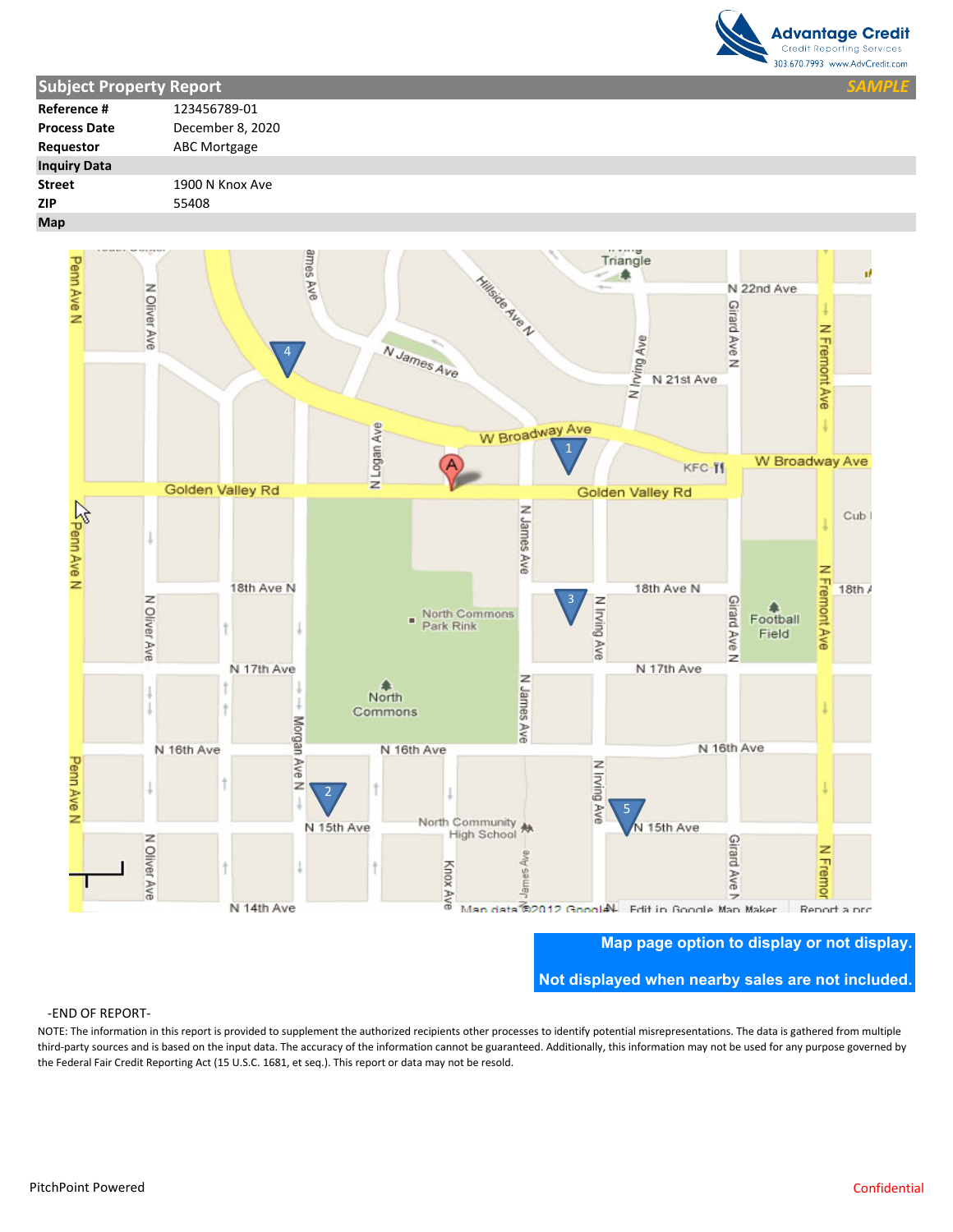

| <b>Subject Property Report</b> |                  | <b>SAMPLE</b> |  |
|--------------------------------|------------------|---------------|--|
| Reference #                    | 123456789-01     |               |  |
| <b>Process Date</b>            | December 8, 2020 |               |  |
| Requestor                      | ABC Mortgage     |               |  |
| <b>Inquiry Data</b>            |                  |               |  |
| <b>Street</b>                  | 1900 N Knox Ave  |               |  |
| <b>ZIP</b>                     | 55408            |               |  |
| Map                            |                  |               |  |



**Not displayed when nearby sales are not included.** 

#### ‐END OF REPORT‐

NOTE: The information in this report is provided to supplement the authorized recipients other processes to identify potential misrepresentations. The data is gathered from multiple third‐party sources and is based on the input data. The accuracy of the information cannot be guaranteed. Additionally, this information may not be used for any purpose governed by the Federal Fair Credit Reporting Act (15 U.S.C. 1681, et seq.). This report or data may not be resold. **Map page option to display or not display.**<br>
PEND OF REPORT-<br>
NOTE: The information in this report is provided to supplement the authorized recipients other processes to identify potential misrepresentations. The data is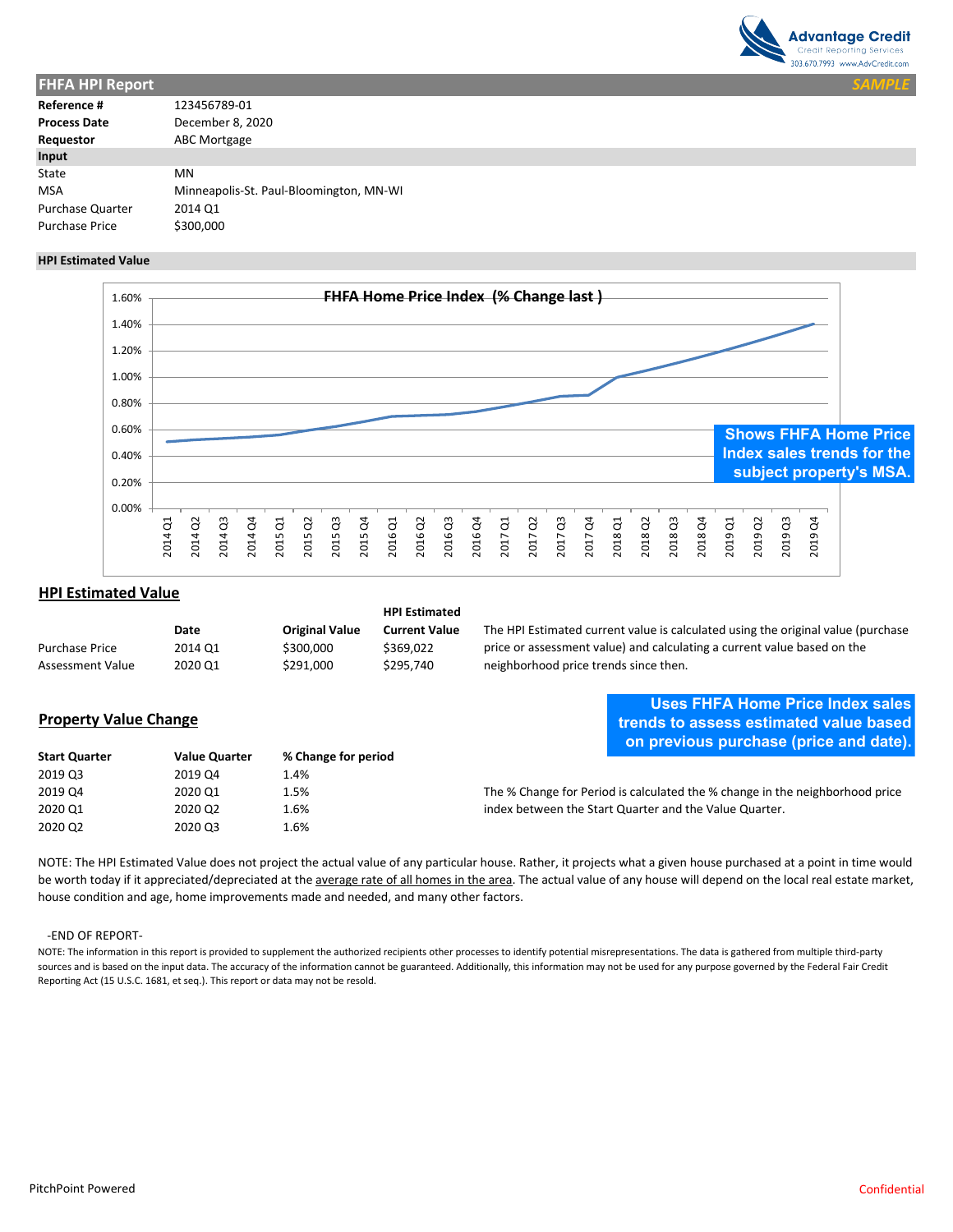

|                                         | <b>SAMPLE</b> |
|-----------------------------------------|---------------|
| 123456789-01                            |               |
| December 8, 2020                        |               |
| ABC Mortgage                            |               |
|                                         |               |
| MN                                      |               |
| Minneapolis-St. Paul-Bloomington, MN-WI |               |
| 2014 Q1                                 |               |
| \$300,000                               |               |
|                                         |               |

#### **HPI Estimated Value**



### **HPI Estimated Value**

|                         |         |                       | <b>HPI Estimated</b> |
|-------------------------|---------|-----------------------|----------------------|
|                         | Date    | <b>Original Value</b> | <b>Current Value</b> |
| <b>Purchase Price</b>   | 2014 Q1 | \$300,000             | \$369.022            |
| <b>Assessment Value</b> | 2020 Q1 | \$291,000             | \$295.740            |

### **Property Value Change**

# **Uses FHFA Home Price Index sales trends to assess estimated value based on previous purchase (price and date).**

The HPI Estimated current value is calculated using the original value (purchase price or assessment value) and calculating a current value based on the

neighborhood price trends since then.

| <b>Start Quarter</b> | <b>Value Quarter</b> | % Change for period | <b>On previous puremase (price and date).</b>                                |
|----------------------|----------------------|---------------------|------------------------------------------------------------------------------|
| 2019 Q3              | 2019 Q4              | 1.4%                |                                                                              |
| 2019 Q4              | 2020 Q1              | 1.5%                | The % Change for Period is calculated the % change in the neighborhood price |
| 2020 Q1              | 2020 Q2              | 1.6%                | index between the Start Quarter and the Value Quarter.                       |
| 2020 Q2              | 2020 Q3              | 1.6%                |                                                                              |

NOTE: The HPI Estimated Value does not project the actual value of any particular house. Rather, it projects what a given house purchased at a point in time would be worth today if it appreciated/depreciated at the average rate of all homes in the area. The actual value of any house will depend on the local real estate market, house condition and age, home improvements made and needed, and many other factors.

#### ‐END OF REPORT‐

NOTE: The information in this report is provided to supplement the authorized recipients other processes to identify potential misrepresentations. The data is gathered from multiple third-party sources and is based on the input data. The accuracy of the information cannot be guaranteed. Additionally, this information may not be used for any purpose governed by the Federal Fair Credit Reporting Act (15 U.S.C. 1681, et seq.). This report or data may not be resold.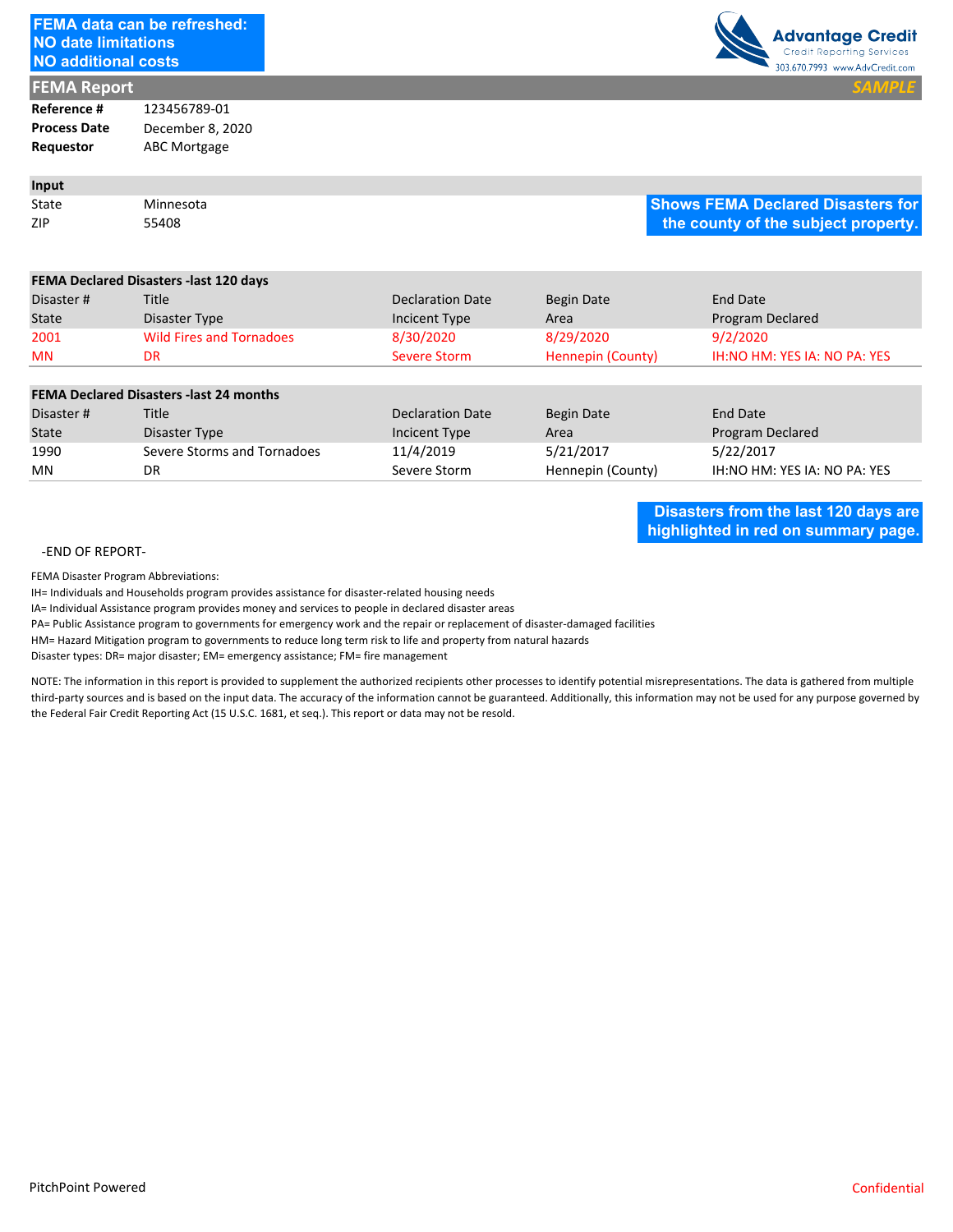| <b>NO date limitations</b><br><b>NO additional costs</b> | <b>FEMA data can be refreshed:</b>                                                                                                                                                                                                                                                                 |                                                                                                                                                                                                                                                 |                   |                 | <b>Advantage Credit</b><br><b>Credit Reporting Services</b><br>303.670.7993 www.AdvCredit.com                                                                                                                                                                                                                                                                                 |
|----------------------------------------------------------|----------------------------------------------------------------------------------------------------------------------------------------------------------------------------------------------------------------------------------------------------------------------------------------------------|-------------------------------------------------------------------------------------------------------------------------------------------------------------------------------------------------------------------------------------------------|-------------------|-----------------|-------------------------------------------------------------------------------------------------------------------------------------------------------------------------------------------------------------------------------------------------------------------------------------------------------------------------------------------------------------------------------|
| <b>FEMA Report</b>                                       |                                                                                                                                                                                                                                                                                                    |                                                                                                                                                                                                                                                 |                   |                 |                                                                                                                                                                                                                                                                                                                                                                               |
| Reference #                                              | 123456789-01                                                                                                                                                                                                                                                                                       |                                                                                                                                                                                                                                                 |                   |                 |                                                                                                                                                                                                                                                                                                                                                                               |
| <b>Process Date</b>                                      | December 8, 2020                                                                                                                                                                                                                                                                                   |                                                                                                                                                                                                                                                 |                   |                 |                                                                                                                                                                                                                                                                                                                                                                               |
| Requestor                                                | <b>ABC Mortgage</b>                                                                                                                                                                                                                                                                                |                                                                                                                                                                                                                                                 |                   |                 |                                                                                                                                                                                                                                                                                                                                                                               |
| Input                                                    |                                                                                                                                                                                                                                                                                                    |                                                                                                                                                                                                                                                 |                   |                 |                                                                                                                                                                                                                                                                                                                                                                               |
| State                                                    | Minnesota                                                                                                                                                                                                                                                                                          |                                                                                                                                                                                                                                                 |                   |                 | <b>Shows FEMA Declared Disasters for</b>                                                                                                                                                                                                                                                                                                                                      |
| ZIP                                                      | 55408                                                                                                                                                                                                                                                                                              |                                                                                                                                                                                                                                                 |                   |                 | the county of the subject property.                                                                                                                                                                                                                                                                                                                                           |
|                                                          | FEMA Declared Disasters -last 120 days                                                                                                                                                                                                                                                             |                                                                                                                                                                                                                                                 |                   |                 |                                                                                                                                                                                                                                                                                                                                                                               |
| Disaster#                                                | Title                                                                                                                                                                                                                                                                                              | <b>Declaration Date</b>                                                                                                                                                                                                                         | <b>Begin Date</b> | <b>End Date</b> |                                                                                                                                                                                                                                                                                                                                                                               |
| State                                                    | Disaster Type                                                                                                                                                                                                                                                                                      | Incicent Type                                                                                                                                                                                                                                   | Area              |                 | Program Declared                                                                                                                                                                                                                                                                                                                                                              |
| 2001                                                     | <b>Wild Fires and Tornadoes</b>                                                                                                                                                                                                                                                                    | 8/30/2020                                                                                                                                                                                                                                       | 8/29/2020         | 9/2/2020        |                                                                                                                                                                                                                                                                                                                                                                               |
| MN                                                       | <b>DR</b>                                                                                                                                                                                                                                                                                          | <b>Severe Storm</b>                                                                                                                                                                                                                             | Hennepin (County) |                 | IH:NO HM: YES IA: NO PA: YES                                                                                                                                                                                                                                                                                                                                                  |
|                                                          | <b>FEMA Declared Disasters -last 24 months</b>                                                                                                                                                                                                                                                     |                                                                                                                                                                                                                                                 |                   |                 |                                                                                                                                                                                                                                                                                                                                                                               |
| Disaster#                                                | Title                                                                                                                                                                                                                                                                                              | <b>Declaration Date</b>                                                                                                                                                                                                                         | <b>Begin Date</b> | End Date        |                                                                                                                                                                                                                                                                                                                                                                               |
| <b>State</b>                                             | Disaster Type                                                                                                                                                                                                                                                                                      | Incicent Type                                                                                                                                                                                                                                   | Area              |                 | Program Declared                                                                                                                                                                                                                                                                                                                                                              |
| 1990                                                     | Severe Storms and Tornadoes                                                                                                                                                                                                                                                                        | 11/4/2019                                                                                                                                                                                                                                       | 5/21/2017         | 5/22/2017       |                                                                                                                                                                                                                                                                                                                                                                               |
| MN                                                       | DR                                                                                                                                                                                                                                                                                                 | Severe Storm                                                                                                                                                                                                                                    | Hennepin (County) |                 | IH:NO HM: YES IA: NO PA: YES                                                                                                                                                                                                                                                                                                                                                  |
|                                                          | IA= Individual Assistance program provides money and services to people in declared disaster areas<br>Disaster types: DR= major disaster; EM= emergency assistance; FM= fire management<br>the Federal Fair Credit Reporting Act (15 U.S.C. 1681, et seq.). This report or data may not be resold. | PA= Public Assistance program to governments for emergency work and the repair or replacement of disaster-damaged facilities<br>HM= Hazard Mitigation program to governments to reduce long term risk to life and property from natural hazards |                   |                 | NOTE: The information in this report is provided to supplement the authorized recipients other processes to identify potential misrepresentations. The data is gathered from multiple<br>third-party sources and is based on the input data. The accuracy of the information cannot be guaranteed. Additionally, this information may not be used for any purpose governed by |
|                                                          |                                                                                                                                                                                                                                                                                                    |                                                                                                                                                                                                                                                 |                   |                 |                                                                                                                                                                                                                                                                                                                                                                               |
| PitchPoint Powered                                       |                                                                                                                                                                                                                                                                                                    |                                                                                                                                                                                                                                                 |                   |                 | Confidential                                                                                                                                                                                                                                                                                                                                                                  |

#### **FEMA Declared Disasters ‐last 24 months**

| Disaster # | Title                       | Declaration Date | Begin Date        | End Date                     |
|------------|-----------------------------|------------------|-------------------|------------------------------|
| State      | Disaster Type               | Incicent Type    | Area              | Program Declared             |
| 1990       | Severe Storms and Tornadoes | 11/4/2019        | 5/21/2017         | 5/22/2017                    |
| MN         | DR                          | Severe Storm     | Hennepin (County) | IH:NO HM: YES IA: NO PA: YES |

#### ‐END OF REPORT‐

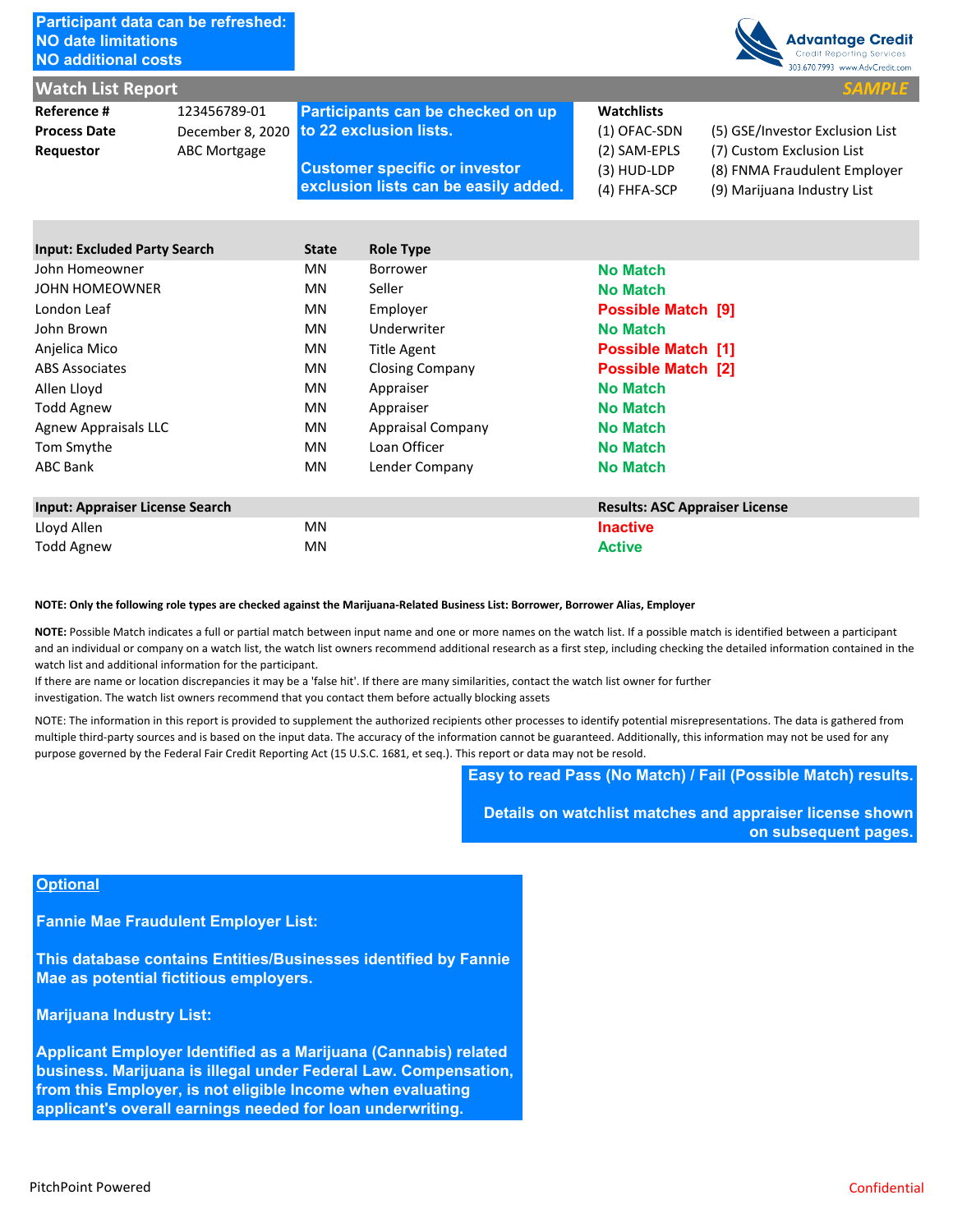| Participant data can be refreshed:<br><b>NO date limitations</b><br><b>NO additional costs</b>                                                                                                                                                                                                                                                                                                                                                                                                                                                                                        |                                                         |           |                                                                                                                                             |  |                                                                                    | <b>Advantage Credit</b><br>Credit Reporting Services<br>303.670.7993 www.AdvCredit.com                                                                                                                                                                                                                                                                                                                                                                                                                                                                                                                                                                                                                                     |
|---------------------------------------------------------------------------------------------------------------------------------------------------------------------------------------------------------------------------------------------------------------------------------------------------------------------------------------------------------------------------------------------------------------------------------------------------------------------------------------------------------------------------------------------------------------------------------------|---------------------------------------------------------|-----------|---------------------------------------------------------------------------------------------------------------------------------------------|--|------------------------------------------------------------------------------------|----------------------------------------------------------------------------------------------------------------------------------------------------------------------------------------------------------------------------------------------------------------------------------------------------------------------------------------------------------------------------------------------------------------------------------------------------------------------------------------------------------------------------------------------------------------------------------------------------------------------------------------------------------------------------------------------------------------------------|
| <b>Watch List Report</b>                                                                                                                                                                                                                                                                                                                                                                                                                                                                                                                                                              |                                                         |           |                                                                                                                                             |  |                                                                                    | <b>SAMPLE</b>                                                                                                                                                                                                                                                                                                                                                                                                                                                                                                                                                                                                                                                                                                              |
| Reference #<br><b>Process Date</b><br>Requestor                                                                                                                                                                                                                                                                                                                                                                                                                                                                                                                                       | 123456789-01<br>December 8, 2020<br><b>ABC Mortgage</b> |           | Participants can be checked on up<br>to 22 exclusion lists.<br><b>Customer specific or investor</b><br>exclusion lists can be easily added. |  | <b>Watchlists</b><br>(1) OFAC-SDN<br>(2) SAM-EPLS<br>$(3)$ HUD-LDP<br>(4) FHFA-SCP | (5) GSE/Investor Exclusion List<br>(7) Custom Exclusion List<br>(8) FNMA Fraudulent Employer<br>(9) Marijuana Industry List                                                                                                                                                                                                                                                                                                                                                                                                                                                                                                                                                                                                |
| <b>Input: Excluded Party Search</b>                                                                                                                                                                                                                                                                                                                                                                                                                                                                                                                                                   |                                                         | State     | <b>Role Type</b>                                                                                                                            |  |                                                                                    |                                                                                                                                                                                                                                                                                                                                                                                                                                                                                                                                                                                                                                                                                                                            |
| John Homeowner                                                                                                                                                                                                                                                                                                                                                                                                                                                                                                                                                                        |                                                         | <b>MN</b> | <b>Borrower</b>                                                                                                                             |  | <b>No Match</b>                                                                    |                                                                                                                                                                                                                                                                                                                                                                                                                                                                                                                                                                                                                                                                                                                            |
| <b>JOHN HOMEOWNER</b>                                                                                                                                                                                                                                                                                                                                                                                                                                                                                                                                                                 |                                                         | <b>MN</b> | Seller                                                                                                                                      |  | <b>No Match</b>                                                                    |                                                                                                                                                                                                                                                                                                                                                                                                                                                                                                                                                                                                                                                                                                                            |
| London Leaf                                                                                                                                                                                                                                                                                                                                                                                                                                                                                                                                                                           |                                                         | <b>MN</b> | Employer                                                                                                                                    |  | Possible Match [9]                                                                 |                                                                                                                                                                                                                                                                                                                                                                                                                                                                                                                                                                                                                                                                                                                            |
| John Brown                                                                                                                                                                                                                                                                                                                                                                                                                                                                                                                                                                            |                                                         | <b>MN</b> | Underwriter                                                                                                                                 |  | <b>No Match</b>                                                                    |                                                                                                                                                                                                                                                                                                                                                                                                                                                                                                                                                                                                                                                                                                                            |
| Anjelica Mico                                                                                                                                                                                                                                                                                                                                                                                                                                                                                                                                                                         |                                                         | <b>MN</b> | <b>Title Agent</b>                                                                                                                          |  | <b>Possible Match [1]</b>                                                          |                                                                                                                                                                                                                                                                                                                                                                                                                                                                                                                                                                                                                                                                                                                            |
| <b>ABS Associates</b>                                                                                                                                                                                                                                                                                                                                                                                                                                                                                                                                                                 |                                                         | <b>MN</b> | <b>Closing Company</b>                                                                                                                      |  | <b>Possible Match [2]</b>                                                          |                                                                                                                                                                                                                                                                                                                                                                                                                                                                                                                                                                                                                                                                                                                            |
| Allen Lloyd                                                                                                                                                                                                                                                                                                                                                                                                                                                                                                                                                                           |                                                         | <b>MN</b> | Appraiser                                                                                                                                   |  | <b>No Match</b>                                                                    |                                                                                                                                                                                                                                                                                                                                                                                                                                                                                                                                                                                                                                                                                                                            |
| <b>Todd Agnew</b>                                                                                                                                                                                                                                                                                                                                                                                                                                                                                                                                                                     |                                                         | <b>MN</b> | Appraiser                                                                                                                                   |  | <b>No Match</b>                                                                    |                                                                                                                                                                                                                                                                                                                                                                                                                                                                                                                                                                                                                                                                                                                            |
| <b>Agnew Appraisals LLC</b>                                                                                                                                                                                                                                                                                                                                                                                                                                                                                                                                                           |                                                         | <b>MN</b> | Appraisal Company                                                                                                                           |  | <b>No Match</b>                                                                    |                                                                                                                                                                                                                                                                                                                                                                                                                                                                                                                                                                                                                                                                                                                            |
| Tom Smythe                                                                                                                                                                                                                                                                                                                                                                                                                                                                                                                                                                            |                                                         | <b>MN</b> | Loan Officer                                                                                                                                |  | <b>No Match</b>                                                                    |                                                                                                                                                                                                                                                                                                                                                                                                                                                                                                                                                                                                                                                                                                                            |
| <b>ABC Bank</b>                                                                                                                                                                                                                                                                                                                                                                                                                                                                                                                                                                       |                                                         | ΜN        | Lender Company                                                                                                                              |  | <b>No Match</b>                                                                    |                                                                                                                                                                                                                                                                                                                                                                                                                                                                                                                                                                                                                                                                                                                            |
| <b>Input: Appraiser License Search</b>                                                                                                                                                                                                                                                                                                                                                                                                                                                                                                                                                |                                                         |           |                                                                                                                                             |  | <b>Results: ASC Appraiser License</b>                                              |                                                                                                                                                                                                                                                                                                                                                                                                                                                                                                                                                                                                                                                                                                                            |
| Lloyd Allen                                                                                                                                                                                                                                                                                                                                                                                                                                                                                                                                                                           |                                                         | <b>MN</b> |                                                                                                                                             |  | <b>Inactive</b>                                                                    |                                                                                                                                                                                                                                                                                                                                                                                                                                                                                                                                                                                                                                                                                                                            |
| <b>Todd Agnew</b>                                                                                                                                                                                                                                                                                                                                                                                                                                                                                                                                                                     |                                                         | MN        |                                                                                                                                             |  | <b>Active</b>                                                                      |                                                                                                                                                                                                                                                                                                                                                                                                                                                                                                                                                                                                                                                                                                                            |
| NOTE: Only the following role types are checked against the Marijuana-Related Business List: Borrower, Borrower Alias, Employer<br>watch list and additional information for the participant.<br>If there are name or location discrepancies it may be a 'false hit'. If there are many similarities, contact the watch list owner for further<br>investigation. The watch list owners recommend that you contact them before actually blocking assets<br>purpose governed by the Federal Fair Credit Reporting Act (15 U.S.C. 1681, et seq.). This report or data may not be resold. |                                                         |           |                                                                                                                                             |  |                                                                                    | NOTE: Possible Match indicates a full or partial match between input name and one or more names on the watch list. If a possible match is identified between a participant<br>and an individual or company on a watch list, the watch list owners recommend additional research as a first step, including checking the detailed information contained in the<br>NOTE: The information in this report is provided to supplement the authorized recipients other processes to identify potential misrepresentations. The data is gathered from<br>multiple third-party sources and is based on the input data. The accuracy of the information cannot be guaranteed. Additionally, this information may not be used for any |
|                                                                                                                                                                                                                                                                                                                                                                                                                                                                                                                                                                                       |                                                         |           |                                                                                                                                             |  |                                                                                    | Easy to read Pass (No Match) / Fail (Possible Match) results.                                                                                                                                                                                                                                                                                                                                                                                                                                                                                                                                                                                                                                                              |
|                                                                                                                                                                                                                                                                                                                                                                                                                                                                                                                                                                                       |                                                         |           |                                                                                                                                             |  |                                                                                    | Details on watchlist matches and appraiser license shown<br>on subsequent pages.                                                                                                                                                                                                                                                                                                                                                                                                                                                                                                                                                                                                                                           |
| <b>Optional</b>                                                                                                                                                                                                                                                                                                                                                                                                                                                                                                                                                                       |                                                         |           |                                                                                                                                             |  |                                                                                    |                                                                                                                                                                                                                                                                                                                                                                                                                                                                                                                                                                                                                                                                                                                            |
| <b>Fannie Mae Fraudulent Employer List:</b>                                                                                                                                                                                                                                                                                                                                                                                                                                                                                                                                           |                                                         |           |                                                                                                                                             |  |                                                                                    |                                                                                                                                                                                                                                                                                                                                                                                                                                                                                                                                                                                                                                                                                                                            |
| This database contains Entities/Businesses identified by Fannie<br>Mae as potential fictitious employers.                                                                                                                                                                                                                                                                                                                                                                                                                                                                             |                                                         |           |                                                                                                                                             |  |                                                                                    |                                                                                                                                                                                                                                                                                                                                                                                                                                                                                                                                                                                                                                                                                                                            |
| <b>Marijuana Industry List:</b>                                                                                                                                                                                                                                                                                                                                                                                                                                                                                                                                                       |                                                         |           |                                                                                                                                             |  |                                                                                    |                                                                                                                                                                                                                                                                                                                                                                                                                                                                                                                                                                                                                                                                                                                            |
| Applicant Employer Identified as a Marijuana (Cannabis) related<br>business. Marijuana is illegal under Federal Law. Compensation,<br>from this Employer, is not eligible Income when evaluating<br>applicant's overall earnings needed for loan underwriting.                                                                                                                                                                                                                                                                                                                        |                                                         |           |                                                                                                                                             |  |                                                                                    |                                                                                                                                                                                                                                                                                                                                                                                                                                                                                                                                                                                                                                                                                                                            |
| <b>PitchPoint Powered</b>                                                                                                                                                                                                                                                                                                                                                                                                                                                                                                                                                             |                                                         |           |                                                                                                                                             |  |                                                                                    | Confidential                                                                                                                                                                                                                                                                                                                                                                                                                                                                                                                                                                                                                                                                                                               |

| <b>Input: Appraiser License Search</b> | <b>Results: ASC Appraiser License</b> |                 |
|----------------------------------------|---------------------------------------|-----------------|
| Lloyd Allen                            | ΜN                                    | <b>Inactive</b> |
| Todd Agnew                             | ΜN                                    | <b>Active</b>   |

#### **NOTE: Only the following role types are checked against the Marijuana‐Related Business List: Borrower, Borrower Alias, Employer**

# **Optional**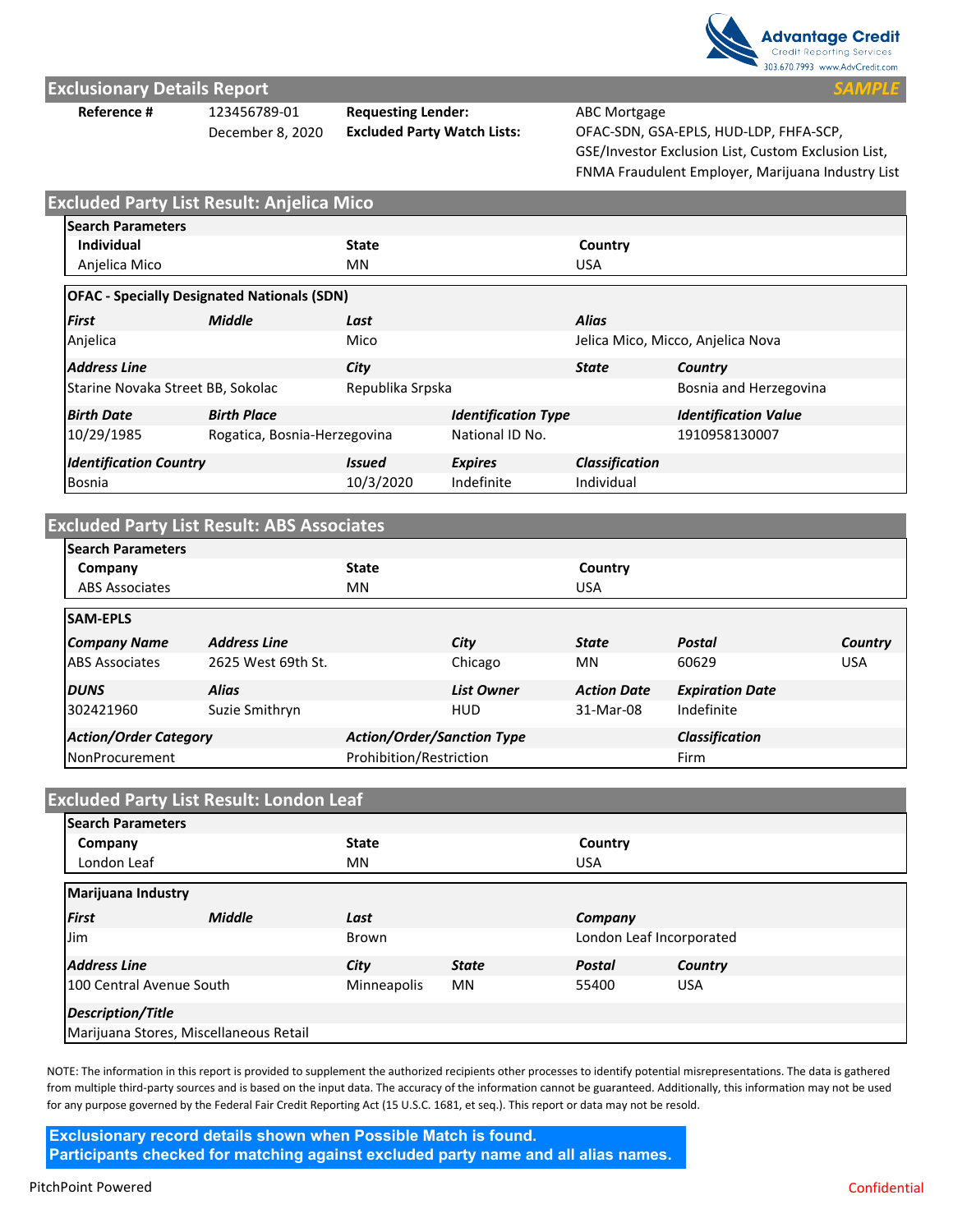

## **Exclusionary Details Report**

**Reference #** 123456789‐01 **Requesting Lender:** ABC Mortgage

December 8, 2020 **Excluded Party Watch Lists:** OFAC‐SDN, GSA‐EPLS, HUD‐LDP, FHFA‐SCP, GSE/Investor Exclusion List, Custom Exclusion List, FNMA Fraudulent Employer, Marijuana Industry List

|                                   | <b>Excluded Party List Result: Anjelica Mico</b>   |                      |                            |                       |                                   |  |
|-----------------------------------|----------------------------------------------------|----------------------|----------------------------|-----------------------|-----------------------------------|--|
| <b>Search Parameters</b>          |                                                    |                      |                            |                       |                                   |  |
| Individual                        |                                                    | <b>State</b>         |                            | Country               |                                   |  |
| Anjelica Mico                     |                                                    |                      | MN                         |                       | <b>USA</b>                        |  |
|                                   | <b>OFAC - Specially Designated Nationals (SDN)</b> |                      |                            |                       |                                   |  |
| <b>First</b>                      | <b>Middle</b>                                      | Last                 |                            | <b>Alias</b>          |                                   |  |
| Anjelica                          |                                                    | Mico                 |                            |                       | Jelica Mico, Micco, Anjelica Nova |  |
| <b>Address Line</b>               |                                                    | City                 |                            | <b>State</b>          | Country                           |  |
| Starine Novaka Street BB, Sokolac |                                                    | Republika Srpska     |                            |                       | Bosnia and Herzegovina            |  |
| <b>Birth Date</b>                 | <b>Birth Place</b>                                 |                      | <b>Identification Type</b> |                       | <b>Identification Value</b>       |  |
| 10/29/1985                        | Rogatica, Bosnia-Herzegovina                       |                      | National ID No.            |                       | 1910958130007                     |  |
| <b>Identification Country</b>     |                                                    | <i><b>Issued</b></i> | <b>Expires</b>             | <b>Classification</b> |                                   |  |
| Bosnia                            |                                                    | 10/3/2020            | Indefinite                 | Individual            |                                   |  |

# **Excluded Party List Result: ABS Associates**

| <b>Search Parameters</b>     |                     |                                   |                   |                    |                        |            |
|------------------------------|---------------------|-----------------------------------|-------------------|--------------------|------------------------|------------|
| Company                      |                     | <b>State</b>                      |                   | Country            |                        |            |
| <b>ABS Associates</b>        |                     | MN                                |                   | <b>USA</b>         |                        |            |
| <b>SAM-EPLS</b>              |                     |                                   |                   |                    |                        |            |
| <b>Company Name</b>          | <b>Address Line</b> |                                   | City              | <b>State</b>       | <b>Postal</b>          | Country    |
| <b>ABS</b> Associates        | 2625 West 69th St.  |                                   | Chicago           | MN                 | 60629                  | <b>USA</b> |
| <b>DUNS</b>                  | <b>Alias</b>        |                                   | <b>List Owner</b> | <b>Action Date</b> | <b>Expiration Date</b> |            |
| 302421960                    | Suzie Smithryn      |                                   | <b>HUD</b>        | 31-Mar-08          | Indefinite             |            |
| <b>Action/Order Category</b> |                     | <b>Action/Order/Sanction Type</b> |                   |                    | <b>Classification</b>  |            |
| NonProcurement               |                     | Prohibition/Restriction           |                   |                    | Firm                   |            |

| <b>Excluded Party List Result: London Leaf</b> |                                        |              |              |                          |            |  |  |  |
|------------------------------------------------|----------------------------------------|--------------|--------------|--------------------------|------------|--|--|--|
| <b>Search Parameters</b>                       |                                        |              |              |                          |            |  |  |  |
| Company                                        |                                        | <b>State</b> |              |                          | Country    |  |  |  |
| London Leaf                                    |                                        | MN           |              |                          | <b>USA</b> |  |  |  |
| Marijuana Industry                             |                                        |              |              |                          |            |  |  |  |
| First                                          | <b>Middle</b>                          | Last         |              |                          | Company    |  |  |  |
| <b>Jim</b>                                     |                                        | Brown        |              | London Leaf Incorporated |            |  |  |  |
| <b>Address Line</b>                            |                                        | City         | <b>State</b> | Postal                   | Country    |  |  |  |
| 100 Central Avenue South                       |                                        | Minneapolis  | MN           | 55400                    | <b>USA</b> |  |  |  |
| <b>Description/Title</b>                       |                                        |              |              |                          |            |  |  |  |
|                                                | Marijuana Stores, Miscellaneous Retail |              |              |                          |            |  |  |  |

NOTE: The information in this report is provided to supplement the authorized recipients other processes to identify potential misrepresentations. The data is gathered from multiple third-party sources and is based on the input data. The accuracy of the information cannot be guaranteed. Additionally, this information may not be used for any purpose governed by the Federal Fair Credit Reporting Act (15 U.S.C. 1681, et seq.). This report or data may not be resold.

**Exclusionary record details shown when Possible Match is found. Participants checked for matching against excluded party name and all alias names.**